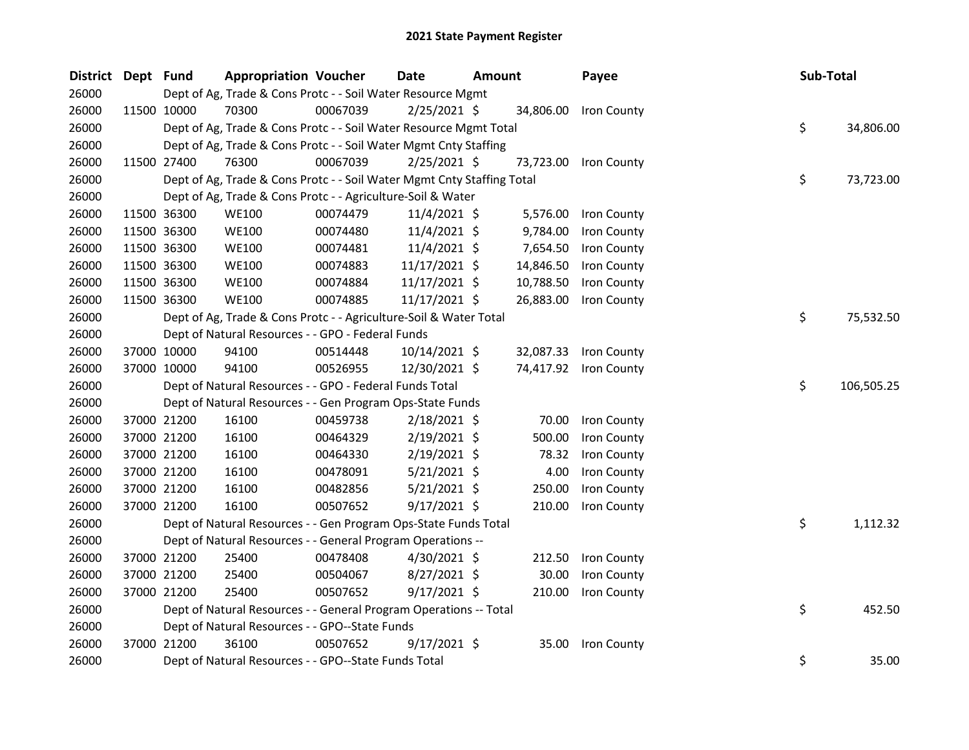| <b>District</b> | Dept Fund |             | <b>Appropriation Voucher</b>                                           |          | <b>Date</b>    | <b>Amount</b> |           | Payee                 | Sub-Total |            |
|-----------------|-----------|-------------|------------------------------------------------------------------------|----------|----------------|---------------|-----------|-----------------------|-----------|------------|
| 26000           |           |             | Dept of Ag, Trade & Cons Protc - - Soil Water Resource Mgmt            |          |                |               |           |                       |           |            |
| 26000           |           | 11500 10000 | 70300                                                                  | 00067039 | $2/25/2021$ \$ |               | 34,806.00 | Iron County           |           |            |
| 26000           |           |             | Dept of Ag, Trade & Cons Protc - - Soil Water Resource Mgmt Total      |          |                |               |           |                       | \$        | 34,806.00  |
| 26000           |           |             | Dept of Ag, Trade & Cons Protc - - Soil Water Mgmt Cnty Staffing       |          |                |               |           |                       |           |            |
| 26000           |           | 11500 27400 | 76300                                                                  | 00067039 | $2/25/2021$ \$ |               |           | 73,723.00 Iron County |           |            |
| 26000           |           |             | Dept of Ag, Trade & Cons Protc - - Soil Water Mgmt Cnty Staffing Total |          |                |               |           |                       | \$        | 73,723.00  |
| 26000           |           |             | Dept of Ag, Trade & Cons Protc - - Agriculture-Soil & Water            |          |                |               |           |                       |           |            |
| 26000           |           | 11500 36300 | <b>WE100</b>                                                           | 00074479 | 11/4/2021 \$   |               | 5,576.00  | Iron County           |           |            |
| 26000           |           | 11500 36300 | <b>WE100</b>                                                           | 00074480 | 11/4/2021 \$   |               | 9,784.00  | Iron County           |           |            |
| 26000           |           | 11500 36300 | <b>WE100</b>                                                           | 00074481 | $11/4/2021$ \$ |               | 7,654.50  | Iron County           |           |            |
| 26000           |           | 11500 36300 | <b>WE100</b>                                                           | 00074883 | 11/17/2021 \$  |               | 14,846.50 | Iron County           |           |            |
| 26000           |           | 11500 36300 | <b>WE100</b>                                                           | 00074884 | 11/17/2021 \$  |               | 10,788.50 | Iron County           |           |            |
| 26000           |           | 11500 36300 | <b>WE100</b>                                                           | 00074885 | 11/17/2021 \$  |               | 26,883.00 | Iron County           |           |            |
| 26000           |           |             | Dept of Ag, Trade & Cons Protc - - Agriculture-Soil & Water Total      |          |                |               |           |                       | \$        | 75,532.50  |
| 26000           |           |             | Dept of Natural Resources - - GPO - Federal Funds                      |          |                |               |           |                       |           |            |
| 26000           |           | 37000 10000 | 94100                                                                  | 00514448 | 10/14/2021 \$  |               |           | 32,087.33 Iron County |           |            |
| 26000           |           | 37000 10000 | 94100                                                                  | 00526955 | 12/30/2021 \$  |               |           | 74,417.92 Iron County |           |            |
| 26000           |           |             | Dept of Natural Resources - - GPO - Federal Funds Total                |          |                |               |           |                       | \$        | 106,505.25 |
| 26000           |           |             | Dept of Natural Resources - - Gen Program Ops-State Funds              |          |                |               |           |                       |           |            |
| 26000           |           | 37000 21200 | 16100                                                                  | 00459738 | $2/18/2021$ \$ |               | 70.00     | Iron County           |           |            |
| 26000           |           | 37000 21200 | 16100                                                                  | 00464329 | $2/19/2021$ \$ |               | 500.00    | Iron County           |           |            |
| 26000           |           | 37000 21200 | 16100                                                                  | 00464330 | $2/19/2021$ \$ |               | 78.32     | Iron County           |           |            |
| 26000           |           | 37000 21200 | 16100                                                                  | 00478091 | $5/21/2021$ \$ |               | 4.00      | Iron County           |           |            |
| 26000           |           | 37000 21200 | 16100                                                                  | 00482856 | $5/21/2021$ \$ |               | 250.00    | Iron County           |           |            |
| 26000           |           | 37000 21200 | 16100                                                                  | 00507652 | $9/17/2021$ \$ |               | 210.00    | Iron County           |           |            |
| 26000           |           |             | Dept of Natural Resources - - Gen Program Ops-State Funds Total        |          |                |               |           |                       | \$        | 1,112.32   |
| 26000           |           |             | Dept of Natural Resources - - General Program Operations --            |          |                |               |           |                       |           |            |
| 26000           |           | 37000 21200 | 25400                                                                  | 00478408 | 4/30/2021 \$   |               | 212.50    | Iron County           |           |            |
| 26000           |           | 37000 21200 | 25400                                                                  | 00504067 | 8/27/2021 \$   |               | 30.00     | Iron County           |           |            |
| 26000           |           | 37000 21200 | 25400                                                                  | 00507652 | $9/17/2021$ \$ |               | 210.00    | Iron County           |           |            |
| 26000           |           |             | Dept of Natural Resources - - General Program Operations -- Total      |          |                |               |           |                       | \$        | 452.50     |
| 26000           |           |             | Dept of Natural Resources - - GPO--State Funds                         |          |                |               |           |                       |           |            |
| 26000           |           | 37000 21200 | 36100                                                                  | 00507652 | $9/17/2021$ \$ |               | 35.00     | Iron County           |           |            |
| 26000           |           |             | Dept of Natural Resources - - GPO--State Funds Total                   |          |                |               |           |                       | \$        | 35.00      |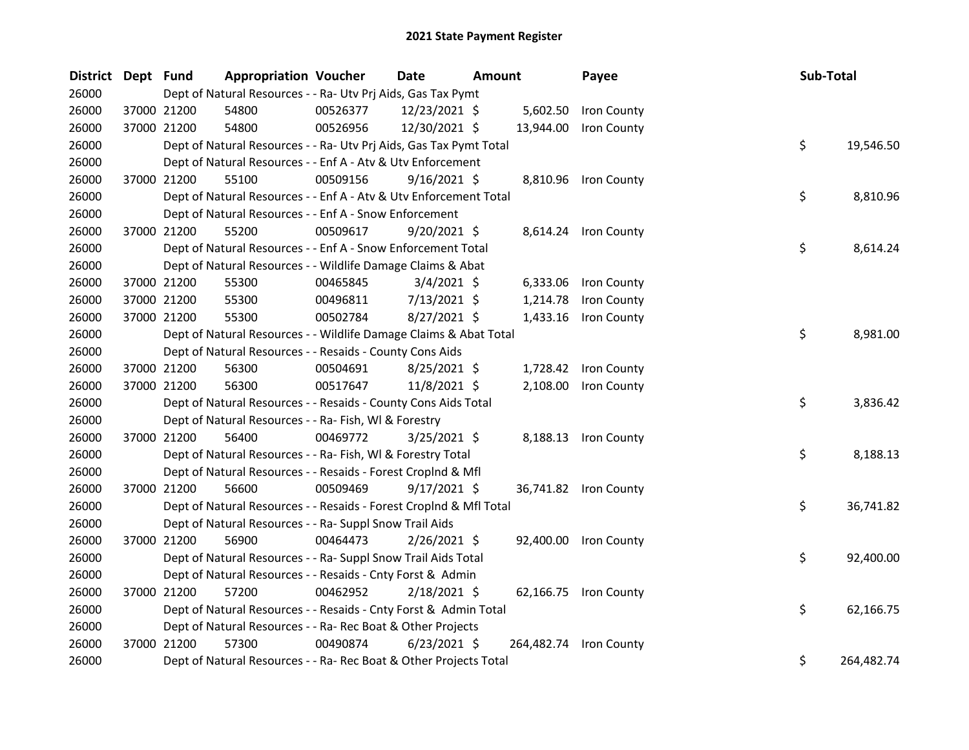| District Dept Fund |             | <b>Appropriation Voucher</b>                                       |          | Date           | <b>Amount</b> |           | Payee                  | Sub-Total |            |
|--------------------|-------------|--------------------------------------------------------------------|----------|----------------|---------------|-----------|------------------------|-----------|------------|
| 26000              |             | Dept of Natural Resources - - Ra- Utv Prj Aids, Gas Tax Pymt       |          |                |               |           |                        |           |            |
| 26000              | 37000 21200 | 54800                                                              | 00526377 | 12/23/2021 \$  |               | 5,602.50  | Iron County            |           |            |
| 26000              | 37000 21200 | 54800                                                              | 00526956 | 12/30/2021 \$  |               | 13,944.00 | Iron County            |           |            |
| 26000              |             | Dept of Natural Resources - - Ra- Utv Prj Aids, Gas Tax Pymt Total |          |                |               |           |                        | \$        | 19,546.50  |
| 26000              |             | Dept of Natural Resources - - Enf A - Atv & Utv Enforcement        |          |                |               |           |                        |           |            |
| 26000              | 37000 21200 | 55100                                                              | 00509156 | $9/16/2021$ \$ |               |           | 8,810.96 Iron County   |           |            |
| 26000              |             | Dept of Natural Resources - - Enf A - Atv & Utv Enforcement Total  |          |                |               |           |                        | \$        | 8,810.96   |
| 26000              |             | Dept of Natural Resources - - Enf A - Snow Enforcement             |          |                |               |           |                        |           |            |
| 26000              | 37000 21200 | 55200                                                              | 00509617 | $9/20/2021$ \$ |               |           | 8,614.24 Iron County   |           |            |
| 26000              |             | Dept of Natural Resources - - Enf A - Snow Enforcement Total       |          |                |               |           |                        | \$        | 8,614.24   |
| 26000              |             | Dept of Natural Resources - - Wildlife Damage Claims & Abat        |          |                |               |           |                        |           |            |
| 26000              | 37000 21200 | 55300                                                              | 00465845 | $3/4/2021$ \$  |               | 6,333.06  | Iron County            |           |            |
| 26000              | 37000 21200 | 55300                                                              | 00496811 | $7/13/2021$ \$ |               | 1,214.78  | Iron County            |           |            |
| 26000              | 37000 21200 | 55300                                                              | 00502784 | $8/27/2021$ \$ |               | 1,433.16  | Iron County            |           |            |
| 26000              |             | Dept of Natural Resources - - Wildlife Damage Claims & Abat Total  |          |                |               |           |                        | \$        | 8,981.00   |
| 26000              |             | Dept of Natural Resources - - Resaids - County Cons Aids           |          |                |               |           |                        |           |            |
| 26000              | 37000 21200 | 56300                                                              | 00504691 | $8/25/2021$ \$ |               |           | 1,728.42 Iron County   |           |            |
| 26000              | 37000 21200 | 56300                                                              | 00517647 | 11/8/2021 \$   |               | 2,108.00  | Iron County            |           |            |
| 26000              |             | Dept of Natural Resources - - Resaids - County Cons Aids Total     |          |                |               |           |                        | \$        | 3,836.42   |
| 26000              |             | Dept of Natural Resources - - Ra- Fish, WI & Forestry              |          |                |               |           |                        |           |            |
| 26000              | 37000 21200 | 56400                                                              | 00469772 | $3/25/2021$ \$ |               |           | 8,188.13 Iron County   |           |            |
| 26000              |             | Dept of Natural Resources - - Ra- Fish, WI & Forestry Total        |          |                |               |           |                        | \$        | 8,188.13   |
| 26000              |             | Dept of Natural Resources - - Resaids - Forest CropInd & Mfl       |          |                |               |           |                        |           |            |
| 26000              | 37000 21200 | 56600                                                              | 00509469 | $9/17/2021$ \$ |               |           | 36,741.82 Iron County  |           |            |
| 26000              |             | Dept of Natural Resources - - Resaids - Forest CropInd & Mfl Total |          |                |               |           |                        | \$        | 36,741.82  |
| 26000              |             | Dept of Natural Resources - - Ra- Suppl Snow Trail Aids            |          |                |               |           |                        |           |            |
| 26000              | 37000 21200 | 56900                                                              | 00464473 | $2/26/2021$ \$ |               |           | 92,400.00 Iron County  |           |            |
| 26000              |             | Dept of Natural Resources - - Ra- Suppl Snow Trail Aids Total      |          |                |               |           |                        | \$        | 92,400.00  |
| 26000              |             | Dept of Natural Resources - - Resaids - Cnty Forst & Admin         |          |                |               |           |                        |           |            |
| 26000              | 37000 21200 | 57200                                                              | 00462952 | $2/18/2021$ \$ |               |           | 62,166.75 Iron County  |           |            |
| 26000              |             | Dept of Natural Resources - - Resaids - Cnty Forst & Admin Total   |          |                |               |           |                        | \$        | 62,166.75  |
| 26000              |             | Dept of Natural Resources - - Ra- Rec Boat & Other Projects        |          |                |               |           |                        |           |            |
| 26000              | 37000 21200 | 57300                                                              | 00490874 | $6/23/2021$ \$ |               |           | 264,482.74 Iron County |           |            |
| 26000              |             | Dept of Natural Resources - - Ra- Rec Boat & Other Projects Total  |          |                |               |           |                        | \$        | 264,482.74 |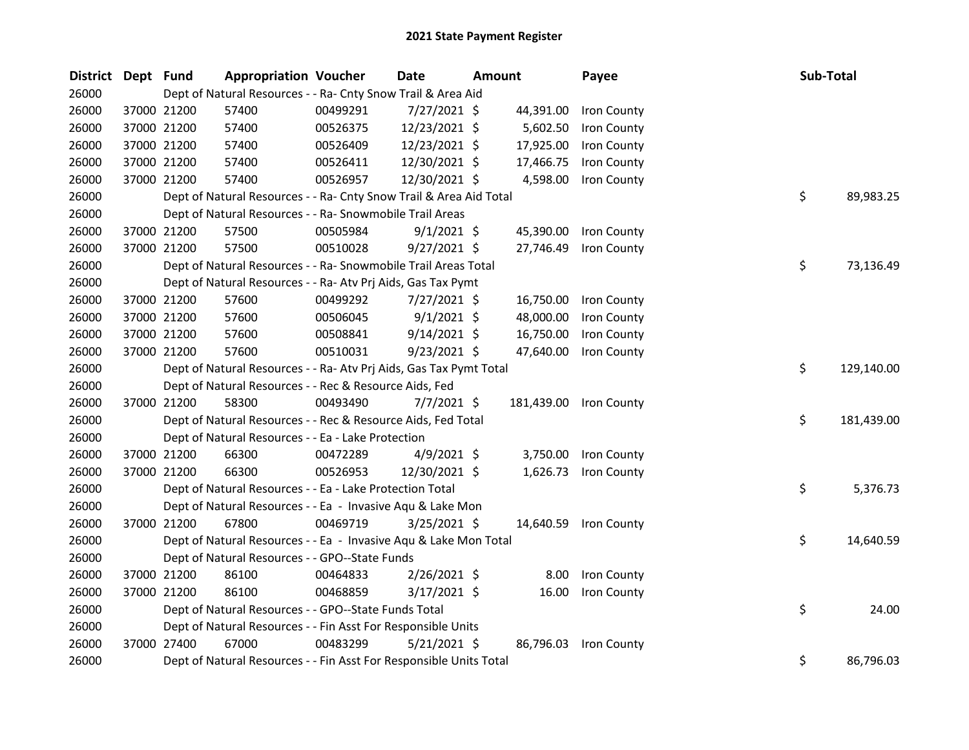| District Dept Fund |             | <b>Appropriation Voucher</b>                                       |          | <b>Date</b>    | <b>Amount</b> |           | Payee                  | Sub-Total |            |
|--------------------|-------------|--------------------------------------------------------------------|----------|----------------|---------------|-----------|------------------------|-----------|------------|
| 26000              |             | Dept of Natural Resources - - Ra- Cnty Snow Trail & Area Aid       |          |                |               |           |                        |           |            |
| 26000              | 37000 21200 | 57400                                                              | 00499291 | 7/27/2021 \$   |               | 44,391.00 | Iron County            |           |            |
| 26000              | 37000 21200 | 57400                                                              | 00526375 | 12/23/2021 \$  |               | 5,602.50  | Iron County            |           |            |
| 26000              | 37000 21200 | 57400                                                              | 00526409 | 12/23/2021 \$  |               | 17,925.00 | Iron County            |           |            |
| 26000              | 37000 21200 | 57400                                                              | 00526411 | 12/30/2021 \$  |               | 17,466.75 | Iron County            |           |            |
| 26000              | 37000 21200 | 57400                                                              | 00526957 | 12/30/2021 \$  |               | 4,598.00  | Iron County            |           |            |
| 26000              |             | Dept of Natural Resources - - Ra- Cnty Snow Trail & Area Aid Total |          |                |               |           |                        | \$        | 89,983.25  |
| 26000              |             | Dept of Natural Resources - - Ra- Snowmobile Trail Areas           |          |                |               |           |                        |           |            |
| 26000              | 37000 21200 | 57500                                                              | 00505984 | $9/1/2021$ \$  |               | 45,390.00 | Iron County            |           |            |
| 26000              | 37000 21200 | 57500                                                              | 00510028 | 9/27/2021 \$   |               | 27,746.49 | Iron County            |           |            |
| 26000              |             | Dept of Natural Resources - - Ra- Snowmobile Trail Areas Total     |          |                |               |           |                        | \$        | 73,136.49  |
| 26000              |             | Dept of Natural Resources - - Ra- Atv Prj Aids, Gas Tax Pymt       |          |                |               |           |                        |           |            |
| 26000              | 37000 21200 | 57600                                                              | 00499292 | 7/27/2021 \$   |               | 16,750.00 | Iron County            |           |            |
| 26000              | 37000 21200 | 57600                                                              | 00506045 | $9/1/2021$ \$  |               | 48,000.00 | Iron County            |           |            |
| 26000              | 37000 21200 | 57600                                                              | 00508841 | $9/14/2021$ \$ |               | 16,750.00 | Iron County            |           |            |
| 26000              | 37000 21200 | 57600                                                              | 00510031 | $9/23/2021$ \$ |               | 47,640.00 | Iron County            |           |            |
| 26000              |             | Dept of Natural Resources - - Ra- Atv Prj Aids, Gas Tax Pymt Total |          |                |               |           |                        | \$        | 129,140.00 |
| 26000              |             | Dept of Natural Resources - - Rec & Resource Aids, Fed             |          |                |               |           |                        |           |            |
| 26000              | 37000 21200 | 58300                                                              | 00493490 | $7/7/2021$ \$  |               |           | 181,439.00 Iron County |           |            |
| 26000              |             | Dept of Natural Resources - - Rec & Resource Aids, Fed Total       |          |                |               |           |                        | \$        | 181,439.00 |
| 26000              |             | Dept of Natural Resources - - Ea - Lake Protection                 |          |                |               |           |                        |           |            |
| 26000              | 37000 21200 | 66300                                                              | 00472289 | $4/9/2021$ \$  |               | 3,750.00  | Iron County            |           |            |
| 26000              | 37000 21200 | 66300                                                              | 00526953 | 12/30/2021 \$  |               | 1,626.73  | Iron County            |           |            |
| 26000              |             | Dept of Natural Resources - - Ea - Lake Protection Total           |          |                |               |           |                        | \$        | 5,376.73   |
| 26000              |             | Dept of Natural Resources - - Ea - Invasive Aqu & Lake Mon         |          |                |               |           |                        |           |            |
| 26000              | 37000 21200 | 67800                                                              | 00469719 | 3/25/2021 \$   |               |           | 14,640.59 Iron County  |           |            |
| 26000              |             | Dept of Natural Resources - - Ea - Invasive Aqu & Lake Mon Total   |          |                |               |           |                        | \$        | 14,640.59  |
| 26000              |             | Dept of Natural Resources - - GPO--State Funds                     |          |                |               |           |                        |           |            |
| 26000              | 37000 21200 | 86100                                                              | 00464833 | $2/26/2021$ \$ |               | 8.00      | Iron County            |           |            |
| 26000              | 37000 21200 | 86100                                                              | 00468859 | 3/17/2021 \$   |               | 16.00     | Iron County            |           |            |
| 26000              |             | Dept of Natural Resources - - GPO--State Funds Total               |          |                |               |           |                        | \$        | 24.00      |
| 26000              |             | Dept of Natural Resources - - Fin Asst For Responsible Units       |          |                |               |           |                        |           |            |
| 26000              | 37000 27400 | 67000                                                              | 00483299 | $5/21/2021$ \$ |               | 86,796.03 | Iron County            |           |            |
| 26000              |             | Dept of Natural Resources - - Fin Asst For Responsible Units Total |          |                |               |           |                        | \$        | 86,796.03  |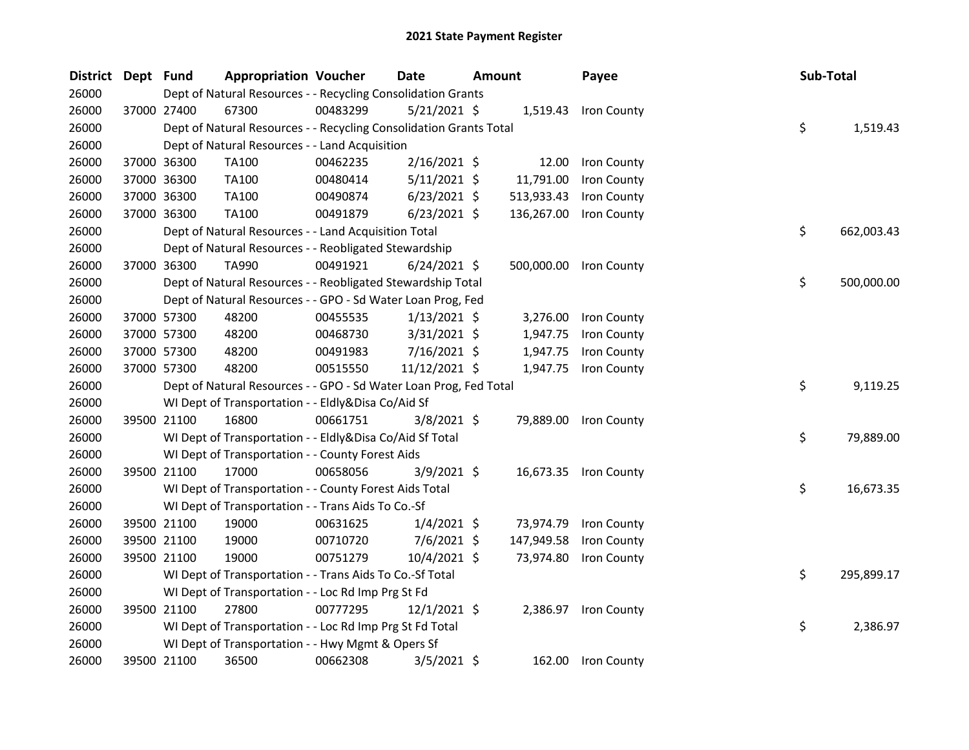| <b>District</b> | Dept Fund |             | <b>Appropriation Voucher</b>                                       |          | Date           | <b>Amount</b> | Payee                  | Sub-Total |            |
|-----------------|-----------|-------------|--------------------------------------------------------------------|----------|----------------|---------------|------------------------|-----------|------------|
| 26000           |           |             | Dept of Natural Resources - - Recycling Consolidation Grants       |          |                |               |                        |           |            |
| 26000           |           | 37000 27400 | 67300                                                              | 00483299 | $5/21/2021$ \$ |               | 1,519.43 Iron County   |           |            |
| 26000           |           |             | Dept of Natural Resources - - Recycling Consolidation Grants Total |          |                |               |                        | \$        | 1,519.43   |
| 26000           |           |             | Dept of Natural Resources - - Land Acquisition                     |          |                |               |                        |           |            |
| 26000           |           | 37000 36300 | TA100                                                              | 00462235 | $2/16/2021$ \$ | 12.00         | Iron County            |           |            |
| 26000           |           | 37000 36300 | TA100                                                              | 00480414 | $5/11/2021$ \$ | 11,791.00     | Iron County            |           |            |
| 26000           |           | 37000 36300 | TA100                                                              | 00490874 | $6/23/2021$ \$ | 513,933.43    | Iron County            |           |            |
| 26000           |           | 37000 36300 | TA100                                                              | 00491879 | $6/23/2021$ \$ | 136,267.00    | Iron County            |           |            |
| 26000           |           |             | Dept of Natural Resources - - Land Acquisition Total               |          |                |               |                        | \$        | 662,003.43 |
| 26000           |           |             | Dept of Natural Resources - - Reobligated Stewardship              |          |                |               |                        |           |            |
| 26000           |           | 37000 36300 | TA990                                                              | 00491921 | $6/24/2021$ \$ |               | 500,000.00 Iron County |           |            |
| 26000           |           |             | Dept of Natural Resources - - Reobligated Stewardship Total        |          |                |               |                        | \$        | 500,000.00 |
| 26000           |           |             | Dept of Natural Resources - - GPO - Sd Water Loan Prog, Fed        |          |                |               |                        |           |            |
| 26000           |           | 37000 57300 | 48200                                                              | 00455535 | $1/13/2021$ \$ | 3,276.00      | Iron County            |           |            |
| 26000           |           | 37000 57300 | 48200                                                              | 00468730 | 3/31/2021 \$   | 1,947.75      | Iron County            |           |            |
| 26000           |           | 37000 57300 | 48200                                                              | 00491983 | 7/16/2021 \$   | 1,947.75      | Iron County            |           |            |
| 26000           |           | 37000 57300 | 48200                                                              | 00515550 | 11/12/2021 \$  | 1,947.75      | Iron County            |           |            |
| 26000           |           |             | Dept of Natural Resources - - GPO - Sd Water Loan Prog, Fed Total  |          |                |               |                        | \$        | 9,119.25   |
| 26000           |           |             | WI Dept of Transportation - - Eldly&Disa Co/Aid Sf                 |          |                |               |                        |           |            |
| 26000           |           | 39500 21100 | 16800                                                              | 00661751 | $3/8/2021$ \$  | 79,889.00     | Iron County            |           |            |
| 26000           |           |             | WI Dept of Transportation - - Eldly&Disa Co/Aid Sf Total           |          |                |               |                        | \$        | 79,889.00  |
| 26000           |           |             | WI Dept of Transportation - - County Forest Aids                   |          |                |               |                        |           |            |
| 26000           |           | 39500 21100 | 17000                                                              | 00658056 | $3/9/2021$ \$  | 16,673.35     | Iron County            |           |            |
| 26000           |           |             | WI Dept of Transportation - - County Forest Aids Total             |          |                |               |                        | \$        | 16,673.35  |
| 26000           |           |             | WI Dept of Transportation - - Trans Aids To Co.-Sf                 |          |                |               |                        |           |            |
| 26000           |           | 39500 21100 | 19000                                                              | 00631625 | $1/4/2021$ \$  | 73,974.79     | Iron County            |           |            |
| 26000           |           | 39500 21100 | 19000                                                              | 00710720 | $7/6/2021$ \$  | 147,949.58    | Iron County            |           |            |
| 26000           |           | 39500 21100 | 19000                                                              | 00751279 | 10/4/2021 \$   | 73,974.80     | Iron County            |           |            |
| 26000           |           |             | WI Dept of Transportation - - Trans Aids To Co.-Sf Total           |          |                |               |                        | \$        | 295,899.17 |
| 26000           |           |             | WI Dept of Transportation - - Loc Rd Imp Prg St Fd                 |          |                |               |                        |           |            |
| 26000           |           | 39500 21100 | 27800                                                              | 00777295 | $12/1/2021$ \$ | 2,386.97      | Iron County            |           |            |
| 26000           |           |             | WI Dept of Transportation - - Loc Rd Imp Prg St Fd Total           |          |                |               |                        | \$        | 2,386.97   |
| 26000           |           |             | WI Dept of Transportation - - Hwy Mgmt & Opers Sf                  |          |                |               |                        |           |            |
| 26000           |           | 39500 21100 | 36500                                                              | 00662308 | $3/5/2021$ \$  | 162.00        | Iron County            |           |            |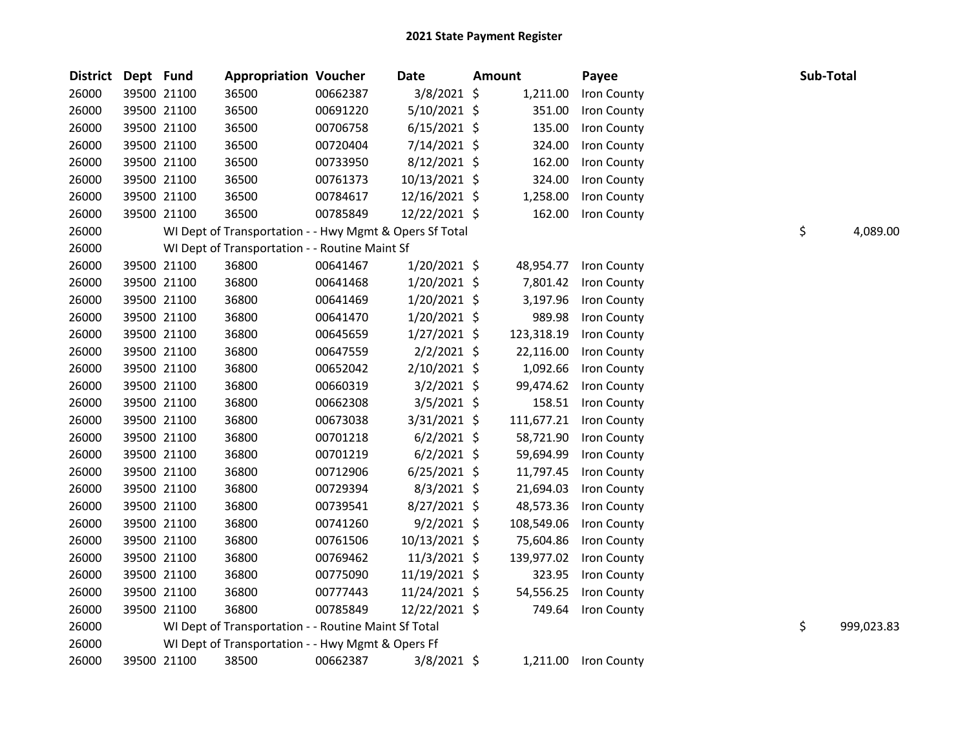| <b>District</b> | Dept Fund |             | <b>Appropriation Voucher</b>                            |          | <b>Date</b>    | <b>Amount</b> | Payee              |    | Sub-Total  |
|-----------------|-----------|-------------|---------------------------------------------------------|----------|----------------|---------------|--------------------|----|------------|
| 26000           |           | 39500 21100 | 36500                                                   | 00662387 | $3/8/2021$ \$  | 1,211.00      | Iron County        |    |            |
| 26000           |           | 39500 21100 | 36500                                                   | 00691220 | 5/10/2021 \$   | 351.00        | Iron County        |    |            |
| 26000           |           | 39500 21100 | 36500                                                   | 00706758 | $6/15/2021$ \$ | 135.00        | Iron County        |    |            |
| 26000           |           | 39500 21100 | 36500                                                   | 00720404 | 7/14/2021 \$   | 324.00        | Iron County        |    |            |
| 26000           |           | 39500 21100 | 36500                                                   | 00733950 | $8/12/2021$ \$ | 162.00        | Iron County        |    |            |
| 26000           |           | 39500 21100 | 36500                                                   | 00761373 | 10/13/2021 \$  | 324.00        | Iron County        |    |            |
| 26000           |           | 39500 21100 | 36500                                                   | 00784617 | 12/16/2021 \$  | 1,258.00      | Iron County        |    |            |
| 26000           |           | 39500 21100 | 36500                                                   | 00785849 | 12/22/2021 \$  | 162.00        | Iron County        |    |            |
| 26000           |           |             | WI Dept of Transportation - - Hwy Mgmt & Opers Sf Total |          |                |               |                    | \$ | 4,089.00   |
| 26000           |           |             | WI Dept of Transportation - - Routine Maint Sf          |          |                |               |                    |    |            |
| 26000           |           | 39500 21100 | 36800                                                   | 00641467 | $1/20/2021$ \$ | 48,954.77     | Iron County        |    |            |
| 26000           |           | 39500 21100 | 36800                                                   | 00641468 | 1/20/2021 \$   | 7,801.42      | Iron County        |    |            |
| 26000           |           | 39500 21100 | 36800                                                   | 00641469 | 1/20/2021 \$   | 3,197.96      | Iron County        |    |            |
| 26000           |           | 39500 21100 | 36800                                                   | 00641470 | $1/20/2021$ \$ | 989.98        | Iron County        |    |            |
| 26000           |           | 39500 21100 | 36800                                                   | 00645659 | 1/27/2021 \$   | 123,318.19    | Iron County        |    |            |
| 26000           |           | 39500 21100 | 36800                                                   | 00647559 | $2/2/2021$ \$  | 22,116.00     | Iron County        |    |            |
| 26000           |           | 39500 21100 | 36800                                                   | 00652042 | 2/10/2021 \$   | 1,092.66      | Iron County        |    |            |
| 26000           |           | 39500 21100 | 36800                                                   | 00660319 | $3/2/2021$ \$  | 99,474.62     | Iron County        |    |            |
| 26000           |           | 39500 21100 | 36800                                                   | 00662308 | $3/5/2021$ \$  | 158.51        | Iron County        |    |            |
| 26000           |           | 39500 21100 | 36800                                                   | 00673038 | $3/31/2021$ \$ | 111,677.21    | Iron County        |    |            |
| 26000           |           | 39500 21100 | 36800                                                   | 00701218 | $6/2/2021$ \$  | 58,721.90     | Iron County        |    |            |
| 26000           |           | 39500 21100 | 36800                                                   | 00701219 | $6/2/2021$ \$  | 59,694.99     | Iron County        |    |            |
| 26000           |           | 39500 21100 | 36800                                                   | 00712906 | $6/25/2021$ \$ | 11,797.45     | Iron County        |    |            |
| 26000           |           | 39500 21100 | 36800                                                   | 00729394 | $8/3/2021$ \$  | 21,694.03     | Iron County        |    |            |
| 26000           |           | 39500 21100 | 36800                                                   | 00739541 | 8/27/2021 \$   | 48,573.36     | Iron County        |    |            |
| 26000           |           | 39500 21100 | 36800                                                   | 00741260 | $9/2/2021$ \$  | 108,549.06    | Iron County        |    |            |
| 26000           |           | 39500 21100 | 36800                                                   | 00761506 | 10/13/2021 \$  | 75,604.86     | Iron County        |    |            |
| 26000           |           | 39500 21100 | 36800                                                   | 00769462 | 11/3/2021 \$   | 139,977.02    | Iron County        |    |            |
| 26000           |           | 39500 21100 | 36800                                                   | 00775090 | 11/19/2021 \$  | 323.95        | Iron County        |    |            |
| 26000           |           | 39500 21100 | 36800                                                   | 00777443 | 11/24/2021 \$  | 54,556.25     | Iron County        |    |            |
| 26000           |           | 39500 21100 | 36800                                                   | 00785849 | 12/22/2021 \$  | 749.64        | Iron County        |    |            |
| 26000           |           |             | WI Dept of Transportation - - Routine Maint Sf Total    |          |                |               |                    | \$ | 999,023.83 |
| 26000           |           |             | WI Dept of Transportation - - Hwy Mgmt & Opers Ff       |          |                |               |                    |    |            |
| 26000           |           | 39500 21100 | 38500                                                   | 00662387 | 3/8/2021 \$    | 1,211.00      | <b>Iron County</b> |    |            |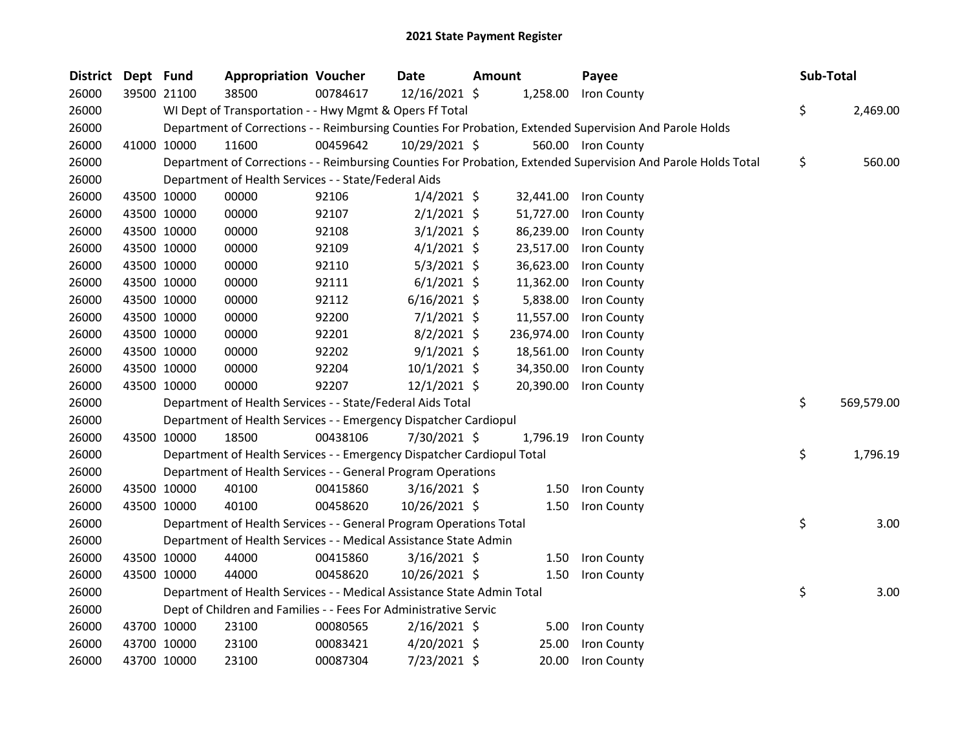| <b>District</b> | Dept Fund |             | <b>Appropriation Voucher</b>                                           |          | <b>Date</b>    | <b>Amount</b> |            | Payee                                                                                                         | Sub-Total |            |
|-----------------|-----------|-------------|------------------------------------------------------------------------|----------|----------------|---------------|------------|---------------------------------------------------------------------------------------------------------------|-----------|------------|
| 26000           |           | 39500 21100 | 38500                                                                  | 00784617 | 12/16/2021 \$  |               |            | 1,258.00 Iron County                                                                                          |           |            |
| 26000           |           |             | WI Dept of Transportation - - Hwy Mgmt & Opers Ff Total                |          |                |               |            |                                                                                                               | \$        | 2,469.00   |
| 26000           |           |             |                                                                        |          |                |               |            | Department of Corrections - - Reimbursing Counties For Probation, Extended Supervision And Parole Holds       |           |            |
| 26000           |           | 41000 10000 | 11600                                                                  | 00459642 | 10/29/2021 \$  |               |            | 560.00 Iron County                                                                                            |           |            |
| 26000           |           |             |                                                                        |          |                |               |            | Department of Corrections - - Reimbursing Counties For Probation, Extended Supervision And Parole Holds Total | \$        | 560.00     |
| 26000           |           |             | Department of Health Services - - State/Federal Aids                   |          |                |               |            |                                                                                                               |           |            |
| 26000           |           | 43500 10000 | 00000                                                                  | 92106    | $1/4/2021$ \$  |               | 32,441.00  | Iron County                                                                                                   |           |            |
| 26000           |           | 43500 10000 | 00000                                                                  | 92107    | $2/1/2021$ \$  |               | 51,727.00  | Iron County                                                                                                   |           |            |
| 26000           |           | 43500 10000 | 00000                                                                  | 92108    | $3/1/2021$ \$  |               | 86,239.00  | Iron County                                                                                                   |           |            |
| 26000           |           | 43500 10000 | 00000                                                                  | 92109    | $4/1/2021$ \$  |               | 23,517.00  | Iron County                                                                                                   |           |            |
| 26000           |           | 43500 10000 | 00000                                                                  | 92110    | $5/3/2021$ \$  |               | 36,623.00  | Iron County                                                                                                   |           |            |
| 26000           |           | 43500 10000 | 00000                                                                  | 92111    | $6/1/2021$ \$  |               | 11,362.00  | Iron County                                                                                                   |           |            |
| 26000           |           | 43500 10000 | 00000                                                                  | 92112    | $6/16/2021$ \$ |               | 5,838.00   | Iron County                                                                                                   |           |            |
| 26000           |           | 43500 10000 | 00000                                                                  | 92200    | $7/1/2021$ \$  |               | 11,557.00  | Iron County                                                                                                   |           |            |
| 26000           |           | 43500 10000 | 00000                                                                  | 92201    | $8/2/2021$ \$  |               | 236,974.00 | Iron County                                                                                                   |           |            |
| 26000           |           | 43500 10000 | 00000                                                                  | 92202    | $9/1/2021$ \$  |               | 18,561.00  | Iron County                                                                                                   |           |            |
| 26000           |           | 43500 10000 | 00000                                                                  | 92204    | $10/1/2021$ \$ |               | 34,350.00  | Iron County                                                                                                   |           |            |
| 26000           |           | 43500 10000 | 00000                                                                  | 92207    | $12/1/2021$ \$ |               | 20,390.00  | Iron County                                                                                                   |           |            |
| 26000           |           |             | Department of Health Services - - State/Federal Aids Total             |          |                |               |            |                                                                                                               | \$        | 569,579.00 |
| 26000           |           |             | Department of Health Services - - Emergency Dispatcher Cardiopul       |          |                |               |            |                                                                                                               |           |            |
| 26000           |           | 43500 10000 | 18500                                                                  | 00438106 | 7/30/2021 \$   |               | 1,796.19   | Iron County                                                                                                   |           |            |
| 26000           |           |             | Department of Health Services - - Emergency Dispatcher Cardiopul Total |          |                |               |            |                                                                                                               | \$        | 1,796.19   |
| 26000           |           |             | Department of Health Services - - General Program Operations           |          |                |               |            |                                                                                                               |           |            |
| 26000           |           | 43500 10000 | 40100                                                                  | 00415860 | $3/16/2021$ \$ |               | 1.50       | Iron County                                                                                                   |           |            |
| 26000           |           | 43500 10000 | 40100                                                                  | 00458620 | 10/26/2021 \$  |               | 1.50       | Iron County                                                                                                   |           |            |
| 26000           |           |             | Department of Health Services - - General Program Operations Total     |          |                |               |            |                                                                                                               | \$        | 3.00       |
| 26000           |           |             | Department of Health Services - - Medical Assistance State Admin       |          |                |               |            |                                                                                                               |           |            |
| 26000           |           | 43500 10000 | 44000                                                                  | 00415860 | $3/16/2021$ \$ |               | 1.50       | Iron County                                                                                                   |           |            |
| 26000           |           | 43500 10000 | 44000                                                                  | 00458620 | 10/26/2021 \$  |               | 1.50       | Iron County                                                                                                   |           |            |
| 26000           |           |             | Department of Health Services - - Medical Assistance State Admin Total |          |                |               |            |                                                                                                               | \$        | 3.00       |
| 26000           |           |             | Dept of Children and Families - - Fees For Administrative Servic       |          |                |               |            |                                                                                                               |           |            |
| 26000           |           | 43700 10000 | 23100                                                                  | 00080565 | $2/16/2021$ \$ |               | 5.00       | Iron County                                                                                                   |           |            |
| 26000           |           | 43700 10000 | 23100                                                                  | 00083421 | $4/20/2021$ \$ |               | 25.00      | Iron County                                                                                                   |           |            |
| 26000           |           | 43700 10000 | 23100                                                                  | 00087304 | 7/23/2021 \$   |               | 20.00      | Iron County                                                                                                   |           |            |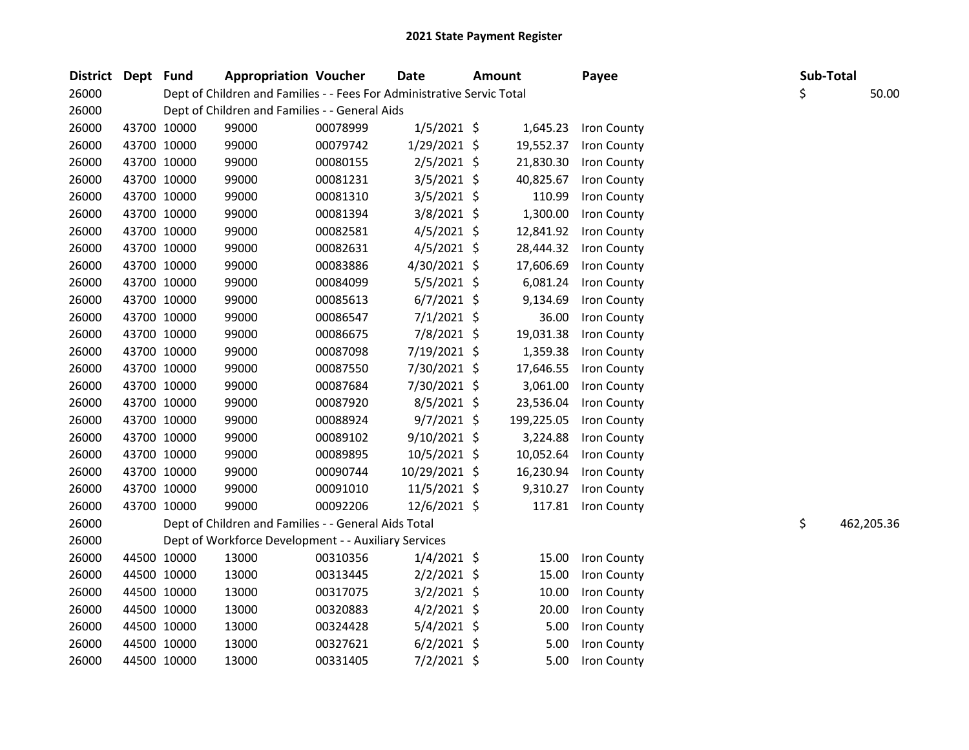| District Dept Fund |             | <b>Appropriation Voucher</b>                                           |          | <b>Date</b>    | Amount     | Payee       |    | Sub-Total  |
|--------------------|-------------|------------------------------------------------------------------------|----------|----------------|------------|-------------|----|------------|
| 26000              |             | Dept of Children and Families - - Fees For Administrative Servic Total |          |                |            |             | \$ | 50.00      |
| 26000              |             | Dept of Children and Families - - General Aids                         |          |                |            |             |    |            |
| 26000              | 43700 10000 | 99000                                                                  | 00078999 | $1/5/2021$ \$  | 1,645.23   | Iron County |    |            |
| 26000              | 43700 10000 | 99000                                                                  | 00079742 | $1/29/2021$ \$ | 19,552.37  | Iron County |    |            |
| 26000              | 43700 10000 | 99000                                                                  | 00080155 | $2/5/2021$ \$  | 21,830.30  | Iron County |    |            |
| 26000              | 43700 10000 | 99000                                                                  | 00081231 | $3/5/2021$ \$  | 40,825.67  | Iron County |    |            |
| 26000              | 43700 10000 | 99000                                                                  | 00081310 | $3/5/2021$ \$  | 110.99     | Iron County |    |            |
| 26000              | 43700 10000 | 99000                                                                  | 00081394 | 3/8/2021 \$    | 1,300.00   | Iron County |    |            |
| 26000              | 43700 10000 | 99000                                                                  | 00082581 | $4/5/2021$ \$  | 12,841.92  | Iron County |    |            |
| 26000              | 43700 10000 | 99000                                                                  | 00082631 | $4/5/2021$ \$  | 28,444.32  | Iron County |    |            |
| 26000              | 43700 10000 | 99000                                                                  | 00083886 | 4/30/2021 \$   | 17,606.69  | Iron County |    |            |
| 26000              | 43700 10000 | 99000                                                                  | 00084099 | $5/5/2021$ \$  | 6,081.24   | Iron County |    |            |
| 26000              | 43700 10000 | 99000                                                                  | 00085613 | $6/7/2021$ \$  | 9,134.69   | Iron County |    |            |
| 26000              | 43700 10000 | 99000                                                                  | 00086547 | 7/1/2021 \$    | 36.00      | Iron County |    |            |
| 26000              | 43700 10000 | 99000                                                                  | 00086675 | 7/8/2021 \$    | 19,031.38  | Iron County |    |            |
| 26000              | 43700 10000 | 99000                                                                  | 00087098 | 7/19/2021 \$   | 1,359.38   | Iron County |    |            |
| 26000              | 43700 10000 | 99000                                                                  | 00087550 | 7/30/2021 \$   | 17,646.55  | Iron County |    |            |
| 26000              | 43700 10000 | 99000                                                                  | 00087684 | 7/30/2021 \$   | 3,061.00   | Iron County |    |            |
| 26000              | 43700 10000 | 99000                                                                  | 00087920 | $8/5/2021$ \$  | 23,536.04  | Iron County |    |            |
| 26000              | 43700 10000 | 99000                                                                  | 00088924 | $9/7/2021$ \$  | 199,225.05 | Iron County |    |            |
| 26000              | 43700 10000 | 99000                                                                  | 00089102 | 9/10/2021 \$   | 3,224.88   | Iron County |    |            |
| 26000              | 43700 10000 | 99000                                                                  | 00089895 | $10/5/2021$ \$ | 10,052.64  | Iron County |    |            |
| 26000              | 43700 10000 | 99000                                                                  | 00090744 | 10/29/2021 \$  | 16,230.94  | Iron County |    |            |
| 26000              | 43700 10000 | 99000                                                                  | 00091010 | 11/5/2021 \$   | 9,310.27   | Iron County |    |            |
| 26000              | 43700 10000 | 99000                                                                  | 00092206 | 12/6/2021 \$   | 117.81     | Iron County |    |            |
| 26000              |             | Dept of Children and Families - - General Aids Total                   |          |                |            |             | \$ | 462,205.36 |
| 26000              |             | Dept of Workforce Development - - Auxiliary Services                   |          |                |            |             |    |            |
| 26000              | 44500 10000 | 13000                                                                  | 00310356 | $1/4/2021$ \$  | 15.00      | Iron County |    |            |
| 26000              | 44500 10000 | 13000                                                                  | 00313445 | $2/2/2021$ \$  | 15.00      | Iron County |    |            |
| 26000              | 44500 10000 | 13000                                                                  | 00317075 | $3/2/2021$ \$  | 10.00      | Iron County |    |            |
| 26000              | 44500 10000 | 13000                                                                  | 00320883 | $4/2/2021$ \$  | 20.00      | Iron County |    |            |
| 26000              | 44500 10000 | 13000                                                                  | 00324428 | $5/4/2021$ \$  | 5.00       | Iron County |    |            |
| 26000              | 44500 10000 | 13000                                                                  | 00327621 | $6/2/2021$ \$  | 5.00       | Iron County |    |            |
| 26000              | 44500 10000 | 13000                                                                  | 00331405 | 7/2/2021 \$    | 5.00       | Iron County |    |            |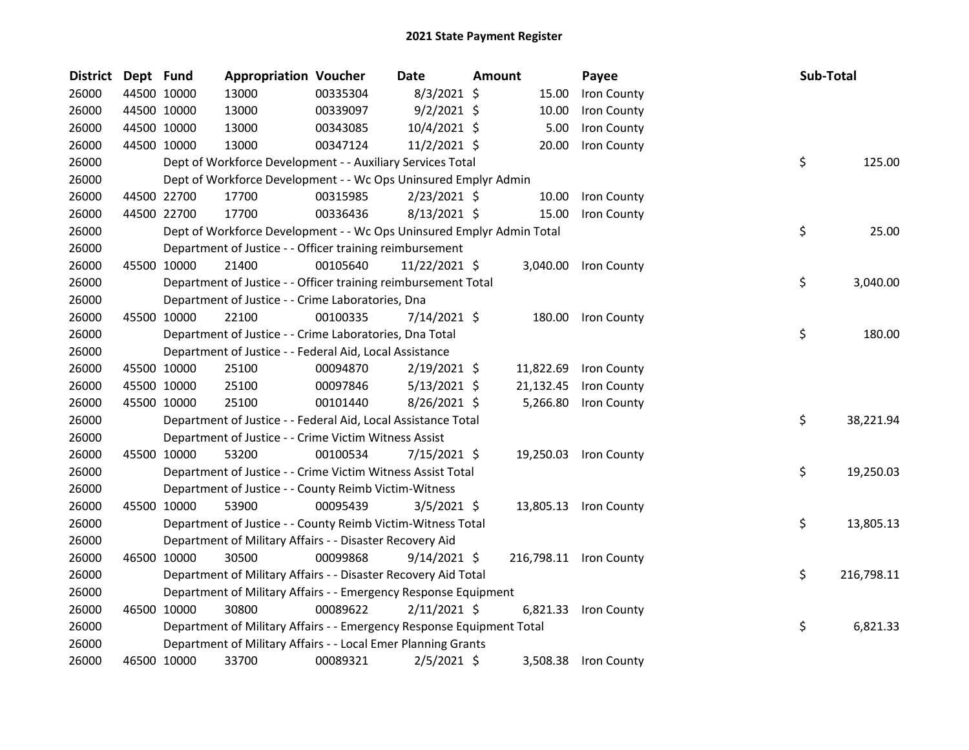| District | Dept Fund |             | <b>Appropriation Voucher</b>                                          |          | Date           | Amount |           | Payee                  | Sub-Total |            |
|----------|-----------|-------------|-----------------------------------------------------------------------|----------|----------------|--------|-----------|------------------------|-----------|------------|
| 26000    |           | 44500 10000 | 13000                                                                 | 00335304 | $8/3/2021$ \$  |        | 15.00     | Iron County            |           |            |
| 26000    |           | 44500 10000 | 13000                                                                 | 00339097 | $9/2/2021$ \$  |        | 10.00     | Iron County            |           |            |
| 26000    |           | 44500 10000 | 13000                                                                 | 00343085 | 10/4/2021 \$   |        | 5.00      | Iron County            |           |            |
| 26000    |           | 44500 10000 | 13000                                                                 | 00347124 | $11/2/2021$ \$ |        | 20.00     | Iron County            |           |            |
| 26000    |           |             | Dept of Workforce Development - - Auxiliary Services Total            |          |                |        |           |                        | \$        | 125.00     |
| 26000    |           |             | Dept of Workforce Development - - Wc Ops Uninsured Emplyr Admin       |          |                |        |           |                        |           |            |
| 26000    |           | 44500 22700 | 17700                                                                 | 00315985 | $2/23/2021$ \$ |        | 10.00     | Iron County            |           |            |
| 26000    |           | 44500 22700 | 17700                                                                 | 00336436 | $8/13/2021$ \$ |        | 15.00     | Iron County            |           |            |
| 26000    |           |             | Dept of Workforce Development - - Wc Ops Uninsured Emplyr Admin Total |          |                |        |           |                        | \$        | 25.00      |
| 26000    |           |             | Department of Justice - - Officer training reimbursement              |          |                |        |           |                        |           |            |
| 26000    |           | 45500 10000 | 21400                                                                 | 00105640 | 11/22/2021 \$  |        | 3,040.00  | Iron County            |           |            |
| 26000    |           |             | Department of Justice - - Officer training reimbursement Total        |          |                |        |           |                        | \$        | 3,040.00   |
| 26000    |           |             | Department of Justice - - Crime Laboratories, Dna                     |          |                |        |           |                        |           |            |
| 26000    |           | 45500 10000 | 22100                                                                 | 00100335 | 7/14/2021 \$   |        | 180.00    | Iron County            |           |            |
| 26000    |           |             | Department of Justice - - Crime Laboratories, Dna Total               |          |                |        |           |                        | \$        | 180.00     |
| 26000    |           |             | Department of Justice - - Federal Aid, Local Assistance               |          |                |        |           |                        |           |            |
| 26000    |           | 45500 10000 | 25100                                                                 | 00094870 | $2/19/2021$ \$ |        | 11,822.69 | Iron County            |           |            |
| 26000    |           | 45500 10000 | 25100                                                                 | 00097846 | $5/13/2021$ \$ |        | 21,132.45 | Iron County            |           |            |
| 26000    |           | 45500 10000 | 25100                                                                 | 00101440 | 8/26/2021 \$   |        | 5,266.80  | Iron County            |           |            |
| 26000    |           |             | Department of Justice - - Federal Aid, Local Assistance Total         |          |                |        |           |                        | \$        | 38,221.94  |
| 26000    |           |             | Department of Justice - - Crime Victim Witness Assist                 |          |                |        |           |                        |           |            |
| 26000    |           | 45500 10000 | 53200                                                                 | 00100534 | $7/15/2021$ \$ |        | 19,250.03 | Iron County            |           |            |
| 26000    |           |             | Department of Justice - - Crime Victim Witness Assist Total           |          |                |        |           |                        | \$        | 19,250.03  |
| 26000    |           |             | Department of Justice - - County Reimb Victim-Witness                 |          |                |        |           |                        |           |            |
| 26000    |           | 45500 10000 | 53900                                                                 | 00095439 | $3/5/2021$ \$  |        | 13,805.13 | Iron County            |           |            |
| 26000    |           |             | Department of Justice - - County Reimb Victim-Witness Total           |          |                |        |           |                        | \$        | 13,805.13  |
| 26000    |           |             | Department of Military Affairs - - Disaster Recovery Aid              |          |                |        |           |                        |           |            |
| 26000    |           | 46500 10000 | 30500                                                                 | 00099868 | $9/14/2021$ \$ |        |           | 216,798.11 Iron County |           |            |
| 26000    |           |             | Department of Military Affairs - - Disaster Recovery Aid Total        |          |                |        |           |                        | \$        | 216,798.11 |
| 26000    |           |             | Department of Military Affairs - - Emergency Response Equipment       |          |                |        |           |                        |           |            |
| 26000    |           | 46500 10000 | 30800                                                                 | 00089622 | $2/11/2021$ \$ |        | 6,821.33  | Iron County            |           |            |
| 26000    |           |             | Department of Military Affairs - - Emergency Response Equipment Total |          |                |        |           |                        | \$        | 6,821.33   |
| 26000    |           |             | Department of Military Affairs - - Local Emer Planning Grants         |          |                |        |           |                        |           |            |
| 26000    |           | 46500 10000 | 33700                                                                 | 00089321 | $2/5/2021$ \$  |        | 3,508.38  | Iron County            |           |            |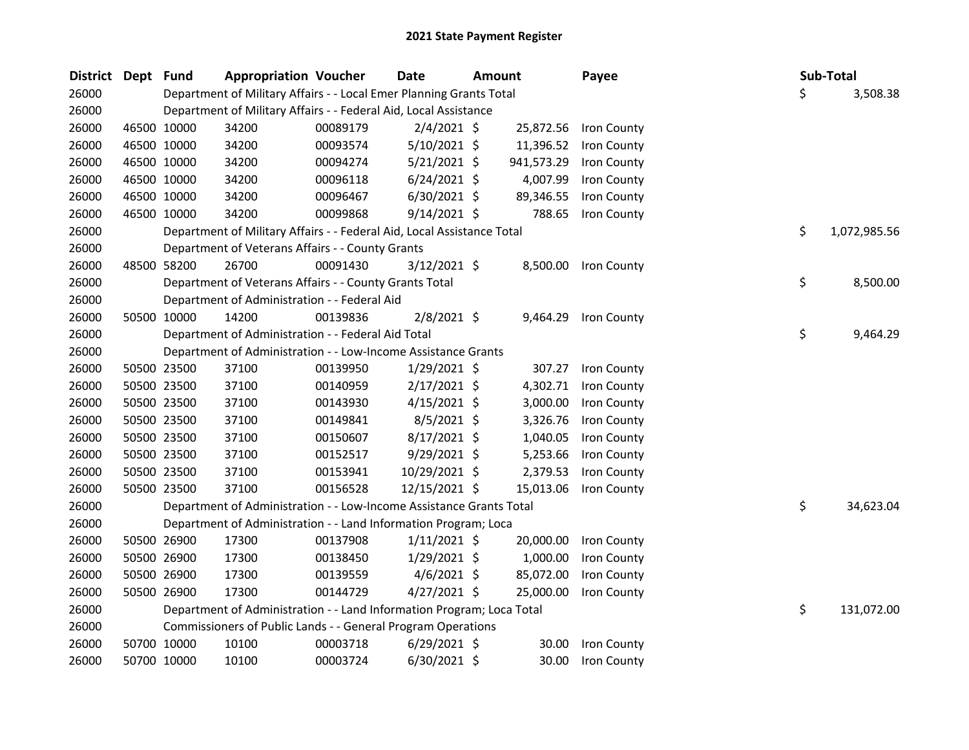| <b>District</b> | Dept Fund |             | <b>Appropriation Voucher</b>                                           |          | <b>Date</b>    | <b>Amount</b> |            | Payee              | Sub-Total |              |
|-----------------|-----------|-------------|------------------------------------------------------------------------|----------|----------------|---------------|------------|--------------------|-----------|--------------|
| 26000           |           |             | Department of Military Affairs - - Local Emer Planning Grants Total    |          |                |               |            |                    | \$        | 3,508.38     |
| 26000           |           |             | Department of Military Affairs - - Federal Aid, Local Assistance       |          |                |               |            |                    |           |              |
| 26000           |           | 46500 10000 | 34200                                                                  | 00089179 | $2/4/2021$ \$  |               | 25,872.56  | <b>Iron County</b> |           |              |
| 26000           |           | 46500 10000 | 34200                                                                  | 00093574 | $5/10/2021$ \$ |               | 11,396.52  | Iron County        |           |              |
| 26000           |           | 46500 10000 | 34200                                                                  | 00094274 | $5/21/2021$ \$ |               | 941,573.29 | Iron County        |           |              |
| 26000           |           | 46500 10000 | 34200                                                                  | 00096118 | $6/24/2021$ \$ |               | 4,007.99   | Iron County        |           |              |
| 26000           |           | 46500 10000 | 34200                                                                  | 00096467 | $6/30/2021$ \$ |               | 89,346.55  | Iron County        |           |              |
| 26000           |           | 46500 10000 | 34200                                                                  | 00099868 | $9/14/2021$ \$ |               | 788.65     | Iron County        |           |              |
| 26000           |           |             | Department of Military Affairs - - Federal Aid, Local Assistance Total |          |                |               |            |                    | \$        | 1,072,985.56 |
| 26000           |           |             | Department of Veterans Affairs - - County Grants                       |          |                |               |            |                    |           |              |
| 26000           |           | 48500 58200 | 26700                                                                  | 00091430 | $3/12/2021$ \$ |               | 8,500.00   | Iron County        |           |              |
| 26000           |           |             | Department of Veterans Affairs - - County Grants Total                 |          |                |               |            |                    | \$        | 8,500.00     |
| 26000           |           |             | Department of Administration - - Federal Aid                           |          |                |               |            |                    |           |              |
| 26000           |           | 50500 10000 | 14200                                                                  | 00139836 | $2/8/2021$ \$  |               | 9,464.29   | Iron County        |           |              |
| 26000           |           |             | Department of Administration - - Federal Aid Total                     |          |                |               |            |                    | \$        | 9,464.29     |
| 26000           |           |             | Department of Administration - - Low-Income Assistance Grants          |          |                |               |            |                    |           |              |
| 26000           |           | 50500 23500 | 37100                                                                  | 00139950 | $1/29/2021$ \$ |               | 307.27     | Iron County        |           |              |
| 26000           |           | 50500 23500 | 37100                                                                  | 00140959 | $2/17/2021$ \$ |               | 4,302.71   | Iron County        |           |              |
| 26000           |           | 50500 23500 | 37100                                                                  | 00143930 | $4/15/2021$ \$ |               | 3,000.00   | Iron County        |           |              |
| 26000           |           | 50500 23500 | 37100                                                                  | 00149841 | $8/5/2021$ \$  |               | 3,326.76   | Iron County        |           |              |
| 26000           |           | 50500 23500 | 37100                                                                  | 00150607 | 8/17/2021 \$   |               | 1,040.05   | Iron County        |           |              |
| 26000           |           | 50500 23500 | 37100                                                                  | 00152517 | 9/29/2021 \$   |               | 5,253.66   | Iron County        |           |              |
| 26000           |           | 50500 23500 | 37100                                                                  | 00153941 | 10/29/2021 \$  |               | 2,379.53   | Iron County        |           |              |
| 26000           |           | 50500 23500 | 37100                                                                  | 00156528 | 12/15/2021 \$  |               | 15,013.06  | Iron County        |           |              |
| 26000           |           |             | Department of Administration - - Low-Income Assistance Grants Total    |          |                |               |            |                    | \$        | 34,623.04    |
| 26000           |           |             | Department of Administration - - Land Information Program; Loca        |          |                |               |            |                    |           |              |
| 26000           |           | 50500 26900 | 17300                                                                  | 00137908 | $1/11/2021$ \$ |               | 20,000.00  | Iron County        |           |              |
| 26000           |           | 50500 26900 | 17300                                                                  | 00138450 | $1/29/2021$ \$ |               | 1,000.00   | Iron County        |           |              |
| 26000           |           | 50500 26900 | 17300                                                                  | 00139559 | $4/6/2021$ \$  |               | 85,072.00  | Iron County        |           |              |
| 26000           |           | 50500 26900 | 17300                                                                  | 00144729 | $4/27/2021$ \$ |               | 25,000.00  | Iron County        |           |              |
| 26000           |           |             | Department of Administration - - Land Information Program; Loca Total  |          |                |               |            |                    | \$        | 131,072.00   |
| 26000           |           |             | Commissioners of Public Lands - - General Program Operations           |          |                |               |            |                    |           |              |
| 26000           |           | 50700 10000 | 10100                                                                  | 00003718 | $6/29/2021$ \$ |               | 30.00      | Iron County        |           |              |
| 26000           |           | 50700 10000 | 10100                                                                  | 00003724 | 6/30/2021 \$   |               | 30.00      | Iron County        |           |              |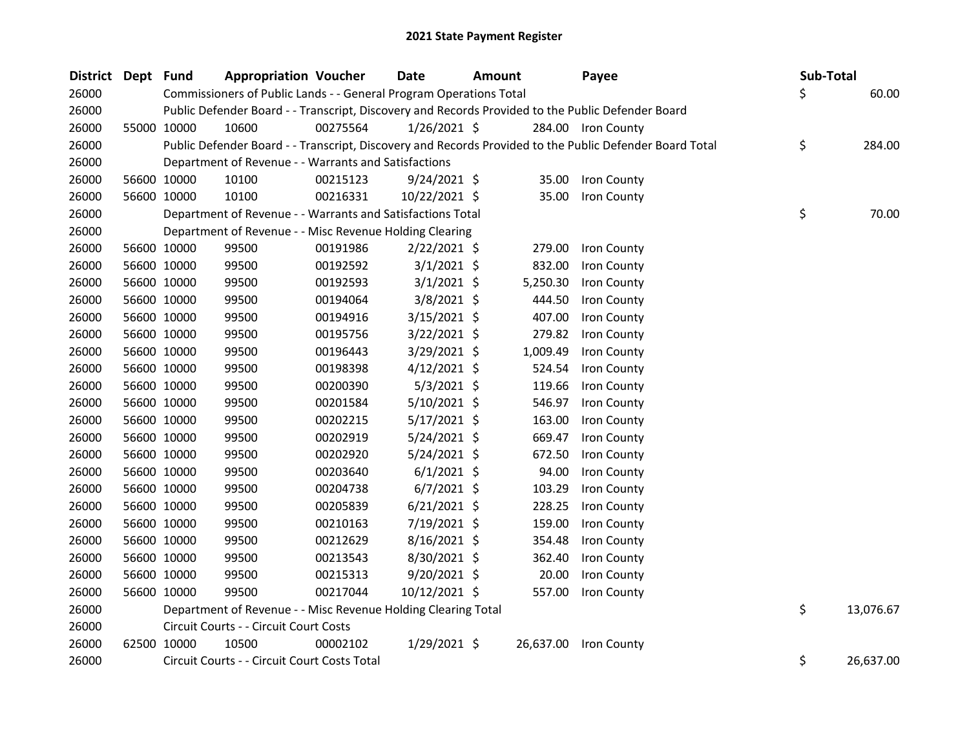| <b>District</b> | Dept Fund |             | <b>Appropriation Voucher</b>                                       |          | <b>Date</b>    | <b>Amount</b> |          | Payee                                                                                                   | Sub-Total |           |
|-----------------|-----------|-------------|--------------------------------------------------------------------|----------|----------------|---------------|----------|---------------------------------------------------------------------------------------------------------|-----------|-----------|
| 26000           |           |             | Commissioners of Public Lands - - General Program Operations Total |          |                |               |          |                                                                                                         | \$        | 60.00     |
| 26000           |           |             |                                                                    |          |                |               |          | Public Defender Board - - Transcript, Discovery and Records Provided to the Public Defender Board       |           |           |
| 26000           |           | 55000 10000 | 10600                                                              | 00275564 | $1/26/2021$ \$ |               |          | 284.00 Iron County                                                                                      |           |           |
| 26000           |           |             |                                                                    |          |                |               |          | Public Defender Board - - Transcript, Discovery and Records Provided to the Public Defender Board Total | \$        | 284.00    |
| 26000           |           |             | Department of Revenue - - Warrants and Satisfactions               |          |                |               |          |                                                                                                         |           |           |
| 26000           |           | 56600 10000 | 10100                                                              | 00215123 | $9/24/2021$ \$ |               | 35.00    | Iron County                                                                                             |           |           |
| 26000           |           | 56600 10000 | 10100                                                              | 00216331 | 10/22/2021 \$  |               | 35.00    | Iron County                                                                                             |           |           |
| 26000           |           |             | Department of Revenue - - Warrants and Satisfactions Total         |          |                |               |          |                                                                                                         | \$        | 70.00     |
| 26000           |           |             | Department of Revenue - - Misc Revenue Holding Clearing            |          |                |               |          |                                                                                                         |           |           |
| 26000           |           | 56600 10000 | 99500                                                              | 00191986 | $2/22/2021$ \$ |               | 279.00   | Iron County                                                                                             |           |           |
| 26000           |           | 56600 10000 | 99500                                                              | 00192592 | $3/1/2021$ \$  |               | 832.00   | Iron County                                                                                             |           |           |
| 26000           |           | 56600 10000 | 99500                                                              | 00192593 | $3/1/2021$ \$  |               | 5,250.30 | Iron County                                                                                             |           |           |
| 26000           |           | 56600 10000 | 99500                                                              | 00194064 | $3/8/2021$ \$  |               | 444.50   | Iron County                                                                                             |           |           |
| 26000           |           | 56600 10000 | 99500                                                              | 00194916 | $3/15/2021$ \$ |               | 407.00   | Iron County                                                                                             |           |           |
| 26000           |           | 56600 10000 | 99500                                                              | 00195756 | 3/22/2021 \$   |               | 279.82   | Iron County                                                                                             |           |           |
| 26000           |           | 56600 10000 | 99500                                                              | 00196443 | 3/29/2021 \$   |               | 1,009.49 | Iron County                                                                                             |           |           |
| 26000           |           | 56600 10000 | 99500                                                              | 00198398 | $4/12/2021$ \$ |               | 524.54   | Iron County                                                                                             |           |           |
| 26000           |           | 56600 10000 | 99500                                                              | 00200390 | $5/3/2021$ \$  |               | 119.66   | Iron County                                                                                             |           |           |
| 26000           |           | 56600 10000 | 99500                                                              | 00201584 | $5/10/2021$ \$ |               | 546.97   | Iron County                                                                                             |           |           |
| 26000           |           | 56600 10000 | 99500                                                              | 00202215 | $5/17/2021$ \$ |               | 163.00   | Iron County                                                                                             |           |           |
| 26000           |           | 56600 10000 | 99500                                                              | 00202919 | 5/24/2021 \$   |               | 669.47   | Iron County                                                                                             |           |           |
| 26000           |           | 56600 10000 | 99500                                                              | 00202920 | 5/24/2021 \$   |               | 672.50   | Iron County                                                                                             |           |           |
| 26000           |           | 56600 10000 | 99500                                                              | 00203640 | $6/1/2021$ \$  |               | 94.00    | Iron County                                                                                             |           |           |
| 26000           |           | 56600 10000 | 99500                                                              | 00204738 | $6/7/2021$ \$  |               | 103.29   | Iron County                                                                                             |           |           |
| 26000           |           | 56600 10000 | 99500                                                              | 00205839 | $6/21/2021$ \$ |               | 228.25   | Iron County                                                                                             |           |           |
| 26000           |           | 56600 10000 | 99500                                                              | 00210163 | 7/19/2021 \$   |               | 159.00   | Iron County                                                                                             |           |           |
| 26000           |           | 56600 10000 | 99500                                                              | 00212629 | $8/16/2021$ \$ |               | 354.48   | Iron County                                                                                             |           |           |
| 26000           |           | 56600 10000 | 99500                                                              | 00213543 | 8/30/2021 \$   |               | 362.40   | Iron County                                                                                             |           |           |
| 26000           |           | 56600 10000 | 99500                                                              | 00215313 | $9/20/2021$ \$ |               | 20.00    | Iron County                                                                                             |           |           |
| 26000           |           | 56600 10000 | 99500                                                              | 00217044 | 10/12/2021 \$  |               | 557.00   | Iron County                                                                                             |           |           |
| 26000           |           |             | Department of Revenue - - Misc Revenue Holding Clearing Total      |          |                |               |          |                                                                                                         | \$        | 13,076.67 |
| 26000           |           |             | Circuit Courts - - Circuit Court Costs                             |          |                |               |          |                                                                                                         |           |           |
| 26000           |           | 62500 10000 | 10500                                                              | 00002102 | $1/29/2021$ \$ |               |          | 26,637.00 Iron County                                                                                   |           |           |
| 26000           |           |             | Circuit Courts - - Circuit Court Costs Total                       |          |                |               |          |                                                                                                         | \$        | 26,637.00 |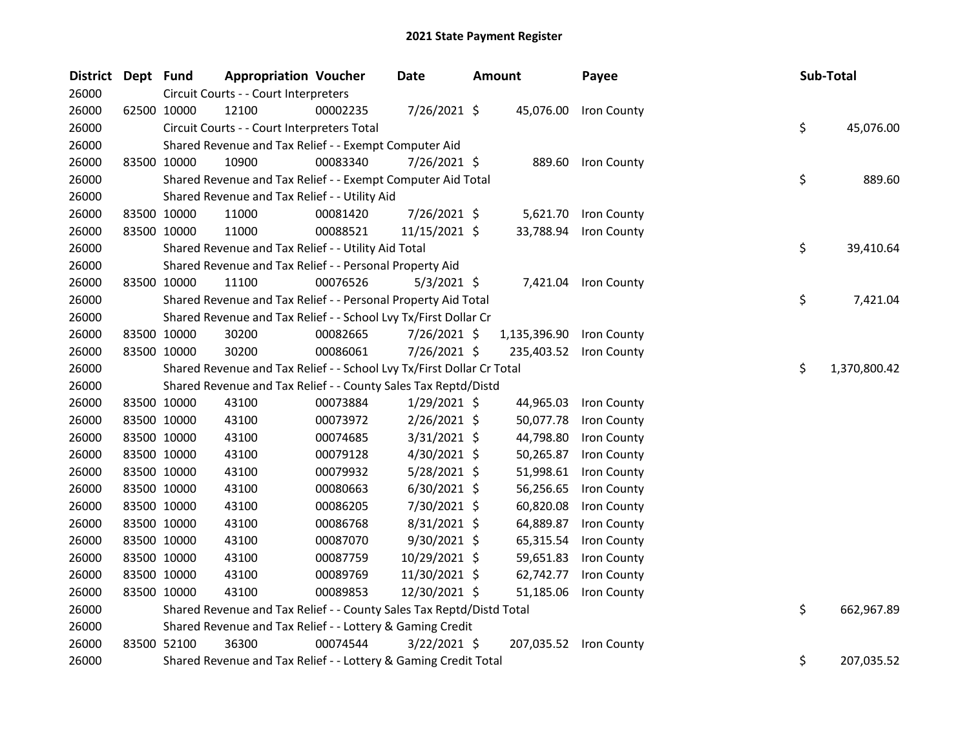| <b>District</b> | Dept Fund |             | <b>Appropriation Voucher</b>                                          |          | Date           | <b>Amount</b> | Payee                  |    | Sub-Total    |
|-----------------|-----------|-------------|-----------------------------------------------------------------------|----------|----------------|---------------|------------------------|----|--------------|
| 26000           |           |             | Circuit Courts - - Court Interpreters                                 |          |                |               |                        |    |              |
| 26000           |           | 62500 10000 | 12100                                                                 | 00002235 | 7/26/2021 \$   |               | 45,076.00 Iron County  |    |              |
| 26000           |           |             | Circuit Courts - - Court Interpreters Total                           |          |                |               |                        | \$ | 45,076.00    |
| 26000           |           |             | Shared Revenue and Tax Relief - - Exempt Computer Aid                 |          |                |               |                        |    |              |
| 26000           |           | 83500 10000 | 10900                                                                 | 00083340 | 7/26/2021 \$   |               | 889.60 Iron County     |    |              |
| 26000           |           |             | Shared Revenue and Tax Relief - - Exempt Computer Aid Total           |          |                |               |                        | \$ | 889.60       |
| 26000           |           |             | Shared Revenue and Tax Relief - - Utility Aid                         |          |                |               |                        |    |              |
| 26000           |           | 83500 10000 | 11000                                                                 | 00081420 | 7/26/2021 \$   | 5,621.70      | Iron County            |    |              |
| 26000           |           | 83500 10000 | 11000                                                                 | 00088521 | 11/15/2021 \$  | 33,788.94     | Iron County            |    |              |
| 26000           |           |             | Shared Revenue and Tax Relief - - Utility Aid Total                   |          |                |               |                        | \$ | 39,410.64    |
| 26000           |           |             | Shared Revenue and Tax Relief - - Personal Property Aid               |          |                |               |                        |    |              |
| 26000           |           | 83500 10000 | 11100                                                                 | 00076526 | $5/3/2021$ \$  |               | 7,421.04 Iron County   |    |              |
| 26000           |           |             | Shared Revenue and Tax Relief - - Personal Property Aid Total         |          |                |               |                        | \$ | 7,421.04     |
| 26000           |           |             | Shared Revenue and Tax Relief - - School Lvy Tx/First Dollar Cr       |          |                |               |                        |    |              |
| 26000           |           | 83500 10000 | 30200                                                                 | 00082665 | 7/26/2021 \$   | 1,135,396.90  | Iron County            |    |              |
| 26000           |           | 83500 10000 | 30200                                                                 | 00086061 | 7/26/2021 \$   |               | 235,403.52 Iron County |    |              |
| 26000           |           |             | Shared Revenue and Tax Relief - - School Lvy Tx/First Dollar Cr Total |          |                |               |                        | \$ | 1,370,800.42 |
| 26000           |           |             | Shared Revenue and Tax Relief - - County Sales Tax Reptd/Distd        |          |                |               |                        |    |              |
| 26000           |           | 83500 10000 | 43100                                                                 | 00073884 | $1/29/2021$ \$ | 44,965.03     | Iron County            |    |              |
| 26000           |           | 83500 10000 | 43100                                                                 | 00073972 | $2/26/2021$ \$ | 50,077.78     | Iron County            |    |              |
| 26000           |           | 83500 10000 | 43100                                                                 | 00074685 | 3/31/2021 \$   | 44,798.80     | Iron County            |    |              |
| 26000           |           | 83500 10000 | 43100                                                                 | 00079128 | $4/30/2021$ \$ | 50,265.87     | Iron County            |    |              |
| 26000           |           | 83500 10000 | 43100                                                                 | 00079932 | 5/28/2021 \$   | 51,998.61     | Iron County            |    |              |
| 26000           |           | 83500 10000 | 43100                                                                 | 00080663 | $6/30/2021$ \$ | 56,256.65     | Iron County            |    |              |
| 26000           |           | 83500 10000 | 43100                                                                 | 00086205 | 7/30/2021 \$   | 60,820.08     | Iron County            |    |              |
| 26000           |           | 83500 10000 | 43100                                                                 | 00086768 | 8/31/2021 \$   | 64,889.87     | Iron County            |    |              |
| 26000           |           | 83500 10000 | 43100                                                                 | 00087070 | 9/30/2021 \$   | 65,315.54     | Iron County            |    |              |
| 26000           |           | 83500 10000 | 43100                                                                 | 00087759 | 10/29/2021 \$  | 59,651.83     | Iron County            |    |              |
| 26000           |           | 83500 10000 | 43100                                                                 | 00089769 | 11/30/2021 \$  | 62,742.77     | Iron County            |    |              |
| 26000           |           | 83500 10000 | 43100                                                                 | 00089853 | 12/30/2021 \$  | 51,185.06     | Iron County            |    |              |
| 26000           |           |             | Shared Revenue and Tax Relief - - County Sales Tax Reptd/Distd Total  |          |                |               |                        | \$ | 662,967.89   |
| 26000           |           |             | Shared Revenue and Tax Relief - - Lottery & Gaming Credit             |          |                |               |                        |    |              |
| 26000           |           | 83500 52100 | 36300                                                                 | 00074544 | $3/22/2021$ \$ |               | 207,035.52 Iron County |    |              |
| 26000           |           |             | Shared Revenue and Tax Relief - - Lottery & Gaming Credit Total       |          |                |               |                        | \$ | 207,035.52   |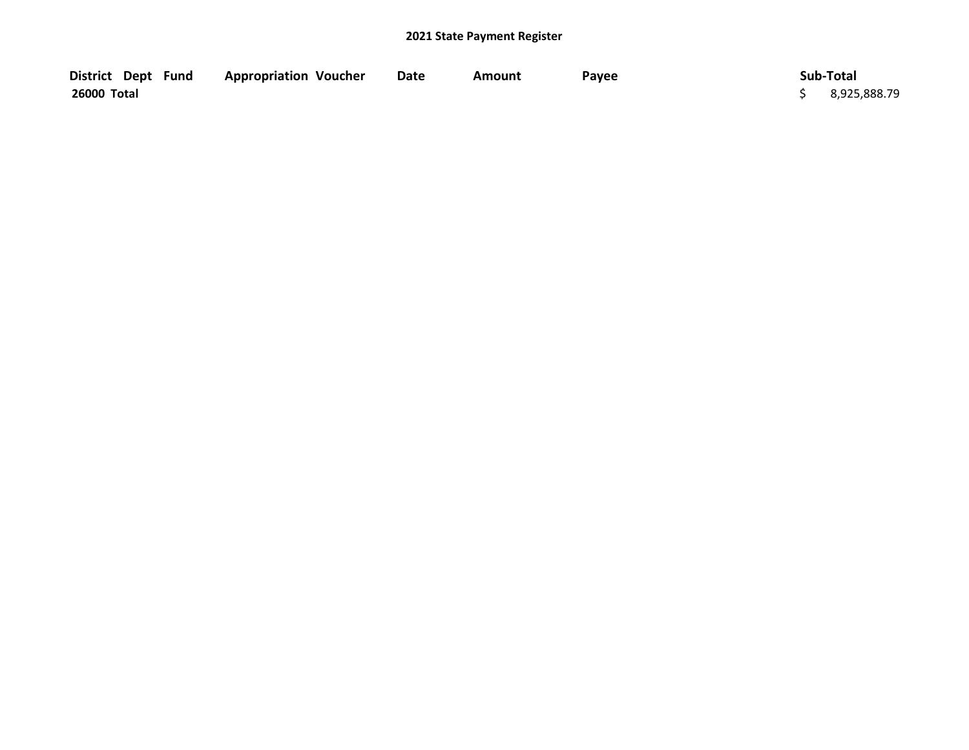| District Dept Fund | <b>Appropriation Voucher</b> | <b>Date</b> | Amount | Payee | Sub-Total      |
|--------------------|------------------------------|-------------|--------|-------|----------------|
| 26000 Total        |                              |             |        |       | \$3,925,888.79 |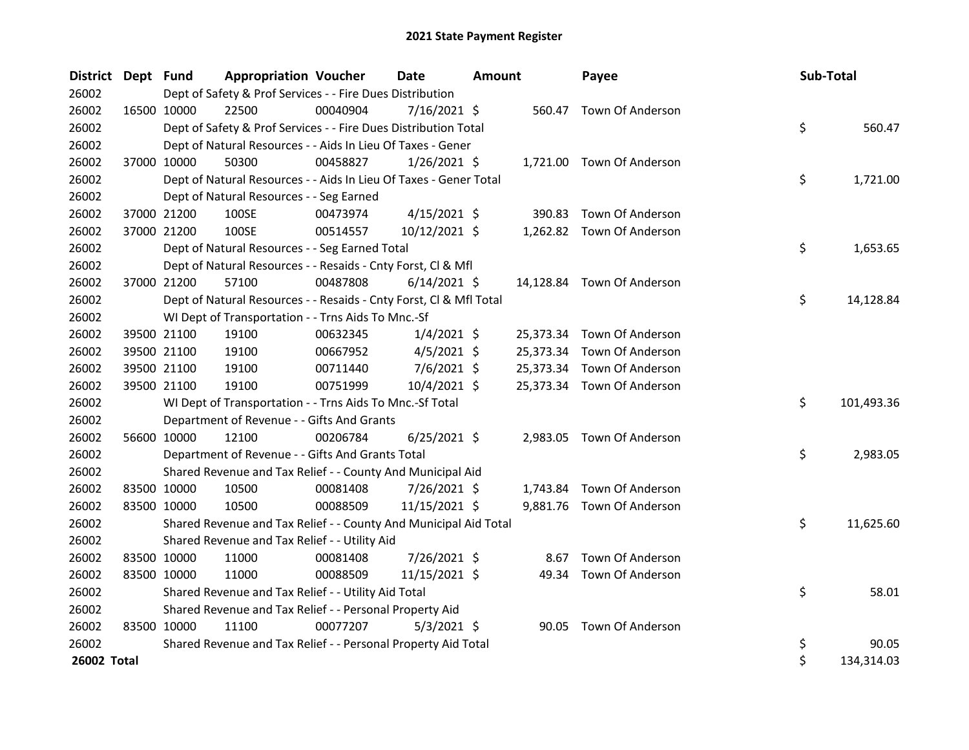| District Dept Fund |             |                                                                    | <b>Appropriation Voucher</b> |          | Date           | <b>Amount</b> |           | Payee                      | Sub-Total |            |
|--------------------|-------------|--------------------------------------------------------------------|------------------------------|----------|----------------|---------------|-----------|----------------------------|-----------|------------|
| 26002              |             | Dept of Safety & Prof Services - - Fire Dues Distribution          |                              |          |                |               |           |                            |           |            |
| 26002              | 16500 10000 | 22500                                                              |                              | 00040904 | 7/16/2021 \$   |               |           | 560.47 Town Of Anderson    |           |            |
| 26002              |             | Dept of Safety & Prof Services - - Fire Dues Distribution Total    |                              |          |                |               |           |                            | \$        | 560.47     |
| 26002              |             | Dept of Natural Resources - - Aids In Lieu Of Taxes - Gener        |                              |          |                |               |           |                            |           |            |
| 26002              |             | 37000 10000<br>50300                                               |                              | 00458827 | $1/26/2021$ \$ |               |           | 1,721.00 Town Of Anderson  |           |            |
| 26002              |             | Dept of Natural Resources - - Aids In Lieu Of Taxes - Gener Total  |                              |          |                |               |           |                            | \$        | 1,721.00   |
| 26002              |             | Dept of Natural Resources - - Seg Earned                           |                              |          |                |               |           |                            |           |            |
| 26002              |             | 100SE<br>37000 21200                                               |                              | 00473974 | $4/15/2021$ \$ |               | 390.83    | Town Of Anderson           |           |            |
| 26002              |             | 37000 21200<br>100SE                                               |                              | 00514557 | 10/12/2021 \$  |               |           | 1,262.82 Town Of Anderson  |           |            |
| 26002              |             | Dept of Natural Resources - - Seg Earned Total                     |                              |          |                |               |           |                            | \$        | 1,653.65   |
| 26002              |             | Dept of Natural Resources - - Resaids - Cnty Forst, Cl & Mfl       |                              |          |                |               |           |                            |           |            |
| 26002              |             | 37000 21200<br>57100                                               |                              | 00487808 | $6/14/2021$ \$ |               |           | 14,128.84 Town Of Anderson |           |            |
| 26002              |             | Dept of Natural Resources - - Resaids - Cnty Forst, Cl & Mfl Total |                              |          |                |               |           |                            | \$        | 14,128.84  |
| 26002              |             | WI Dept of Transportation - - Trns Aids To Mnc.-Sf                 |                              |          |                |               |           |                            |           |            |
| 26002              |             | 39500 21100<br>19100                                               |                              | 00632345 | $1/4/2021$ \$  |               | 25,373.34 | Town Of Anderson           |           |            |
| 26002              |             | 39500 21100<br>19100                                               |                              | 00667952 | $4/5/2021$ \$  |               | 25,373.34 | Town Of Anderson           |           |            |
| 26002              |             | 39500 21100<br>19100                                               |                              | 00711440 | $7/6/2021$ \$  |               | 25,373.34 | Town Of Anderson           |           |            |
| 26002              | 39500 21100 | 19100                                                              |                              | 00751999 | 10/4/2021 \$   |               |           | 25,373.34 Town Of Anderson |           |            |
| 26002              |             | WI Dept of Transportation - - Trns Aids To Mnc.-Sf Total           |                              |          |                |               |           |                            | \$        | 101,493.36 |
| 26002              |             | Department of Revenue - - Gifts And Grants                         |                              |          |                |               |           |                            |           |            |
| 26002              | 56600 10000 | 12100                                                              |                              | 00206784 | $6/25/2021$ \$ |               |           | 2,983.05 Town Of Anderson  |           |            |
| 26002              |             | Department of Revenue - - Gifts And Grants Total                   |                              |          |                |               |           |                            | \$        | 2,983.05   |
| 26002              |             | Shared Revenue and Tax Relief - - County And Municipal Aid         |                              |          |                |               |           |                            |           |            |
| 26002              |             | 83500 10000<br>10500                                               |                              | 00081408 | 7/26/2021 \$   |               | 1,743.84  | Town Of Anderson           |           |            |
| 26002              | 83500 10000 | 10500                                                              |                              | 00088509 | 11/15/2021 \$  |               |           | 9,881.76 Town Of Anderson  |           |            |
| 26002              |             | Shared Revenue and Tax Relief - - County And Municipal Aid Total   |                              |          |                |               |           |                            | \$        | 11,625.60  |
| 26002              |             | Shared Revenue and Tax Relief - - Utility Aid                      |                              |          |                |               |           |                            |           |            |
| 26002              |             | 83500 10000<br>11000                                               |                              | 00081408 | 7/26/2021 \$   |               | 8.67      | Town Of Anderson           |           |            |
| 26002              | 83500 10000 | 11000                                                              |                              | 00088509 | 11/15/2021 \$  |               |           | 49.34 Town Of Anderson     |           |            |
| 26002              |             | Shared Revenue and Tax Relief - - Utility Aid Total                |                              |          |                |               |           |                            | \$        | 58.01      |
| 26002              |             | Shared Revenue and Tax Relief - - Personal Property Aid            |                              |          |                |               |           |                            |           |            |
| 26002              | 83500 10000 | 11100                                                              |                              | 00077207 | $5/3/2021$ \$  |               |           | 90.05 Town Of Anderson     |           |            |
| 26002              |             | Shared Revenue and Tax Relief - - Personal Property Aid Total      |                              |          |                |               |           |                            | \$        | 90.05      |
| 26002 Total        |             |                                                                    |                              |          |                |               |           |                            | \$        | 134,314.03 |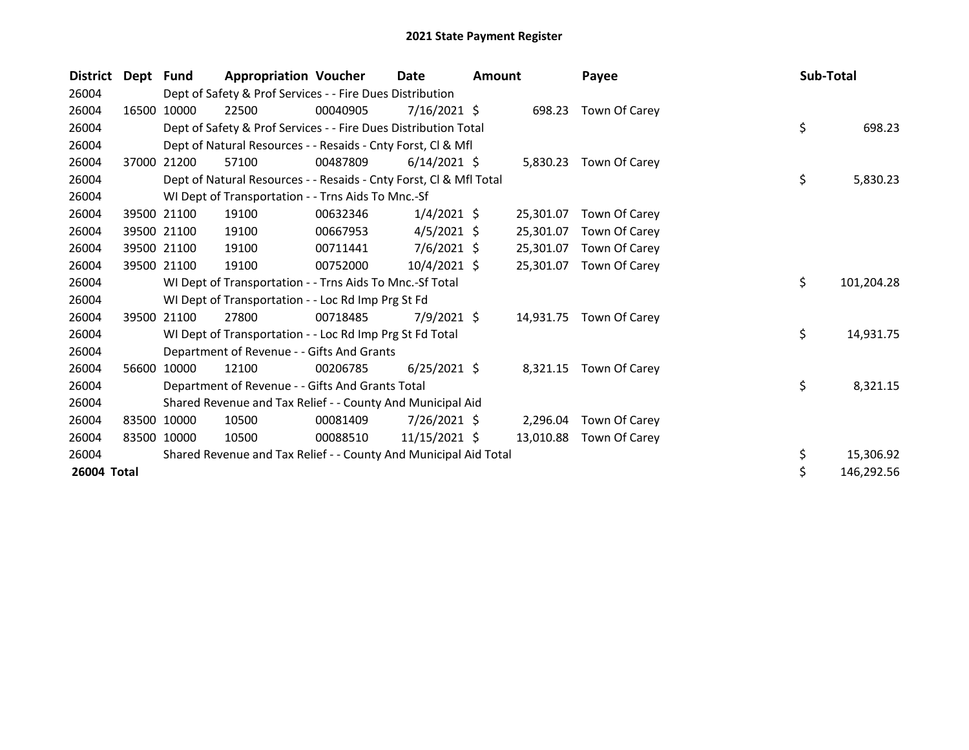| <b>District</b> | Dept Fund |             | <b>Appropriation Voucher</b>                                       |          | <b>Date</b>     | <b>Amount</b> |           | Payee                  | Sub-Total |            |
|-----------------|-----------|-------------|--------------------------------------------------------------------|----------|-----------------|---------------|-----------|------------------------|-----------|------------|
| 26004           |           |             | Dept of Safety & Prof Services - - Fire Dues Distribution          |          |                 |               |           |                        |           |            |
| 26004           | 16500     | 10000       | 22500                                                              | 00040905 | $7/16/2021$ \$  |               | 698.23    | Town Of Carey          |           |            |
| 26004           |           |             | Dept of Safety & Prof Services - - Fire Dues Distribution Total    |          |                 |               |           |                        | \$        | 698.23     |
| 26004           |           |             | Dept of Natural Resources - - Resaids - Cnty Forst, CI & Mfl       |          |                 |               |           |                        |           |            |
| 26004           |           | 37000 21200 | 57100                                                              | 00487809 | $6/14/2021$ \$  |               |           | 5,830.23 Town Of Carey |           |            |
| 26004           |           |             | Dept of Natural Resources - - Resaids - Cnty Forst, Cl & Mfl Total |          |                 |               |           |                        | \$        | 5,830.23   |
| 26004           |           |             | WI Dept of Transportation - - Trns Aids To Mnc.-Sf                 |          |                 |               |           |                        |           |            |
| 26004           | 39500     | 21100       | 19100                                                              | 00632346 | $1/4/2021$ \$   |               | 25,301.07 | Town Of Carey          |           |            |
| 26004           |           | 39500 21100 | 19100                                                              | 00667953 | $4/5/2021$ \$   |               | 25,301.07 | Town Of Carey          |           |            |
| 26004           |           | 39500 21100 | 19100                                                              | 00711441 | $7/6/2021$ \$   |               | 25,301.07 | Town Of Carey          |           |            |
| 26004           |           | 39500 21100 | 19100                                                              | 00752000 | $10/4/2021$ \$  |               | 25,301.07 | Town Of Carey          |           |            |
| 26004           |           |             | WI Dept of Transportation - - Trns Aids To Mnc.-Sf Total           |          |                 |               |           |                        | \$        | 101,204.28 |
| 26004           |           |             | WI Dept of Transportation - - Loc Rd Imp Prg St Fd                 |          |                 |               |           |                        |           |            |
| 26004           |           | 39500 21100 | 27800                                                              | 00718485 | $7/9/2021$ \$   |               | 14,931.75 | Town Of Carey          |           |            |
| 26004           |           |             | WI Dept of Transportation - - Loc Rd Imp Prg St Fd Total           |          |                 |               |           |                        | \$        | 14,931.75  |
| 26004           |           |             | Department of Revenue - - Gifts And Grants                         |          |                 |               |           |                        |           |            |
| 26004           | 56600     | 10000       | 12100                                                              | 00206785 | $6/25/2021$ \$  |               |           | 8,321.15 Town Of Carey |           |            |
| 26004           |           |             | Department of Revenue - - Gifts And Grants Total                   |          |                 |               |           |                        | \$        | 8,321.15   |
| 26004           |           |             | Shared Revenue and Tax Relief - - County And Municipal Aid         |          |                 |               |           |                        |           |            |
| 26004           |           | 83500 10000 | 10500                                                              | 00081409 | 7/26/2021 \$    |               | 2,296.04  | Town Of Carey          |           |            |
| 26004           |           | 83500 10000 | 10500                                                              | 00088510 | $11/15/2021$ \$ |               | 13,010.88 | Town Of Carey          |           |            |
| 26004           |           |             | Shared Revenue and Tax Relief - - County And Municipal Aid Total   |          |                 |               |           |                        | \$        | 15,306.92  |
| 26004 Total     |           |             |                                                                    |          |                 |               |           |                        | \$        | 146,292.56 |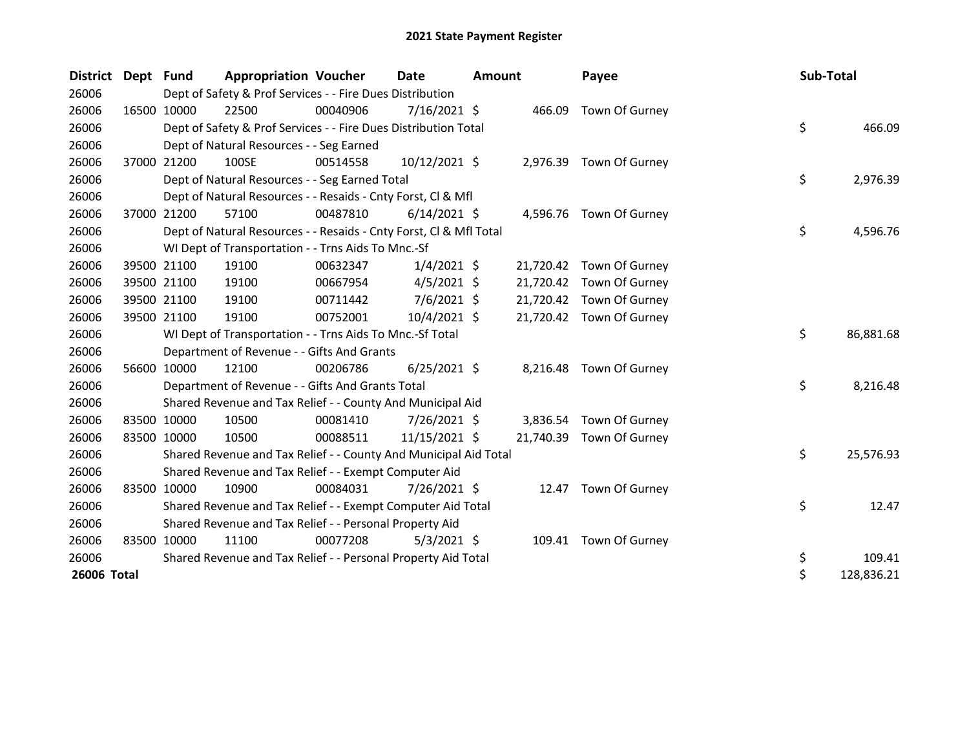| <b>District</b> | Dept | <b>Fund</b> | <b>Appropriation Voucher</b>                                       |          | Date           | <b>Amount</b> |           | Payee                    | Sub-Total |            |
|-----------------|------|-------------|--------------------------------------------------------------------|----------|----------------|---------------|-----------|--------------------------|-----------|------------|
| 26006           |      |             | Dept of Safety & Prof Services - - Fire Dues Distribution          |          |                |               |           |                          |           |            |
| 26006           |      | 16500 10000 | 22500                                                              | 00040906 | $7/16/2021$ \$ |               | 466.09    | Town Of Gurney           |           |            |
| 26006           |      |             | Dept of Safety & Prof Services - - Fire Dues Distribution Total    |          |                |               |           |                          | \$        | 466.09     |
| 26006           |      |             | Dept of Natural Resources - - Seg Earned                           |          |                |               |           |                          |           |            |
| 26006           |      | 37000 21200 | 100SE                                                              | 00514558 | 10/12/2021 \$  |               |           | 2,976.39 Town Of Gurney  |           |            |
| 26006           |      |             | Dept of Natural Resources - - Seg Earned Total                     |          |                |               |           |                          | \$        | 2,976.39   |
| 26006           |      |             | Dept of Natural Resources - - Resaids - Cnty Forst, Cl & Mfl       |          |                |               |           |                          |           |            |
| 26006           |      | 37000 21200 | 57100                                                              | 00487810 | $6/14/2021$ \$ |               |           | 4,596.76 Town Of Gurney  |           |            |
| 26006           |      |             | Dept of Natural Resources - - Resaids - Cnty Forst, Cl & Mfl Total |          |                |               |           |                          | \$        | 4,596.76   |
| 26006           |      |             | WI Dept of Transportation - - Trns Aids To Mnc.-Sf                 |          |                |               |           |                          |           |            |
| 26006           |      | 39500 21100 | 19100                                                              | 00632347 | $1/4/2021$ \$  |               |           | 21,720.42 Town Of Gurney |           |            |
| 26006           |      | 39500 21100 | 19100                                                              | 00667954 | $4/5/2021$ \$  |               | 21,720.42 | Town Of Gurney           |           |            |
| 26006           |      | 39500 21100 | 19100                                                              | 00711442 | $7/6/2021$ \$  |               | 21,720.42 | Town Of Gurney           |           |            |
| 26006           |      | 39500 21100 | 19100                                                              | 00752001 | 10/4/2021 \$   |               |           | 21,720.42 Town Of Gurney |           |            |
| 26006           |      |             | WI Dept of Transportation - - Trns Aids To Mnc.-Sf Total           |          |                |               |           |                          | \$        | 86,881.68  |
| 26006           |      |             | Department of Revenue - - Gifts And Grants                         |          |                |               |           |                          |           |            |
| 26006           |      | 56600 10000 | 12100                                                              | 00206786 | $6/25/2021$ \$ |               |           | 8,216.48 Town Of Gurney  |           |            |
| 26006           |      |             | Department of Revenue - - Gifts And Grants Total                   |          |                |               |           |                          | \$        | 8,216.48   |
| 26006           |      |             | Shared Revenue and Tax Relief - - County And Municipal Aid         |          |                |               |           |                          |           |            |
| 26006           |      | 83500 10000 | 10500                                                              | 00081410 | 7/26/2021 \$   |               | 3,836.54  | Town Of Gurney           |           |            |
| 26006           |      | 83500 10000 | 10500                                                              | 00088511 | 11/15/2021 \$  |               | 21,740.39 | Town Of Gurney           |           |            |
| 26006           |      |             | Shared Revenue and Tax Relief - - County And Municipal Aid Total   |          |                |               |           |                          | \$        | 25,576.93  |
| 26006           |      |             | Shared Revenue and Tax Relief - - Exempt Computer Aid              |          |                |               |           |                          |           |            |
| 26006           |      | 83500 10000 | 10900                                                              | 00084031 | 7/26/2021 \$   |               |           | 12.47 Town Of Gurney     |           |            |
| 26006           |      |             | Shared Revenue and Tax Relief - - Exempt Computer Aid Total        |          |                |               |           |                          | \$        | 12.47      |
| 26006           |      |             | Shared Revenue and Tax Relief - - Personal Property Aid            |          |                |               |           |                          |           |            |
| 26006           |      | 83500 10000 | 11100                                                              | 00077208 | $5/3/2021$ \$  |               |           | 109.41 Town Of Gurney    |           |            |
| 26006           |      |             | Shared Revenue and Tax Relief - - Personal Property Aid Total      |          |                |               |           |                          | \$        | 109.41     |
| 26006 Total     |      |             |                                                                    |          |                |               |           |                          | \$        | 128,836.21 |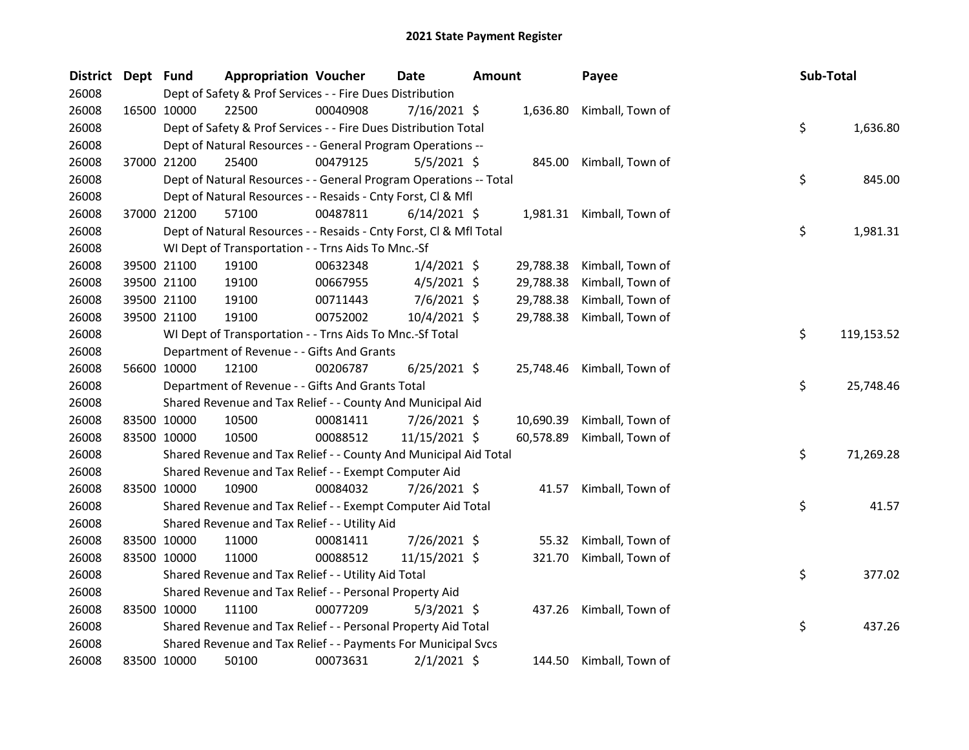| District Dept Fund |             | <b>Appropriation Voucher</b>                                       |          | <b>Date</b>    | <b>Amount</b> |           | Payee                      | Sub-Total |            |
|--------------------|-------------|--------------------------------------------------------------------|----------|----------------|---------------|-----------|----------------------------|-----------|------------|
| 26008              |             | Dept of Safety & Prof Services - - Fire Dues Distribution          |          |                |               |           |                            |           |            |
| 26008              | 16500 10000 | 22500                                                              | 00040908 | 7/16/2021 \$   |               | 1,636.80  | Kimball, Town of           |           |            |
| 26008              |             | Dept of Safety & Prof Services - - Fire Dues Distribution Total    |          |                |               |           |                            | \$        | 1,636.80   |
| 26008              |             | Dept of Natural Resources - - General Program Operations --        |          |                |               |           |                            |           |            |
| 26008              | 37000 21200 | 25400                                                              | 00479125 | $5/5/2021$ \$  |               | 845.00    | Kimball, Town of           |           |            |
| 26008              |             | Dept of Natural Resources - - General Program Operations -- Total  |          |                |               |           |                            | \$        | 845.00     |
| 26008              |             | Dept of Natural Resources - - Resaids - Cnty Forst, Cl & Mfl       |          |                |               |           |                            |           |            |
| 26008              | 37000 21200 | 57100                                                              | 00487811 | $6/14/2021$ \$ |               |           | 1,981.31 Kimball, Town of  |           |            |
| 26008              |             | Dept of Natural Resources - - Resaids - Cnty Forst, Cl & Mfl Total |          |                |               |           |                            | \$        | 1,981.31   |
| 26008              |             | WI Dept of Transportation - - Trns Aids To Mnc.-Sf                 |          |                |               |           |                            |           |            |
| 26008              | 39500 21100 | 19100                                                              | 00632348 | $1/4/2021$ \$  |               | 29,788.38 | Kimball, Town of           |           |            |
| 26008              | 39500 21100 | 19100                                                              | 00667955 | $4/5/2021$ \$  |               | 29,788.38 | Kimball, Town of           |           |            |
| 26008              | 39500 21100 | 19100                                                              | 00711443 | 7/6/2021 \$    |               | 29,788.38 | Kimball, Town of           |           |            |
| 26008              | 39500 21100 | 19100                                                              | 00752002 | 10/4/2021 \$   |               | 29,788.38 | Kimball, Town of           |           |            |
| 26008              |             | WI Dept of Transportation - - Trns Aids To Mnc.-Sf Total           |          |                |               |           |                            | \$        | 119,153.52 |
| 26008              |             | Department of Revenue - - Gifts And Grants                         |          |                |               |           |                            |           |            |
| 26008              | 56600 10000 | 12100                                                              | 00206787 | $6/25/2021$ \$ |               |           | 25,748.46 Kimball, Town of |           |            |
| 26008              |             | Department of Revenue - - Gifts And Grants Total                   |          |                |               |           |                            | \$        | 25,748.46  |
| 26008              |             | Shared Revenue and Tax Relief - - County And Municipal Aid         |          |                |               |           |                            |           |            |
| 26008              | 83500 10000 | 10500                                                              | 00081411 | 7/26/2021 \$   |               | 10,690.39 | Kimball, Town of           |           |            |
| 26008              | 83500 10000 | 10500                                                              | 00088512 | 11/15/2021 \$  |               | 60,578.89 | Kimball, Town of           |           |            |
| 26008              |             | Shared Revenue and Tax Relief - - County And Municipal Aid Total   |          |                |               |           |                            | \$        | 71,269.28  |
| 26008              |             | Shared Revenue and Tax Relief - - Exempt Computer Aid              |          |                |               |           |                            |           |            |
| 26008              | 83500 10000 | 10900                                                              | 00084032 | 7/26/2021 \$   |               | 41.57     | Kimball, Town of           |           |            |
| 26008              |             | Shared Revenue and Tax Relief - - Exempt Computer Aid Total        |          |                |               |           |                            | \$        | 41.57      |
| 26008              |             | Shared Revenue and Tax Relief - - Utility Aid                      |          |                |               |           |                            |           |            |
| 26008              | 83500 10000 | 11000                                                              | 00081411 | 7/26/2021 \$   |               | 55.32     | Kimball, Town of           |           |            |
| 26008              | 83500 10000 | 11000                                                              | 00088512 | 11/15/2021 \$  |               | 321.70    | Kimball, Town of           |           |            |
| 26008              |             | Shared Revenue and Tax Relief - - Utility Aid Total                |          |                |               |           |                            | \$        | 377.02     |
| 26008              |             | Shared Revenue and Tax Relief - - Personal Property Aid            |          |                |               |           |                            |           |            |
| 26008              | 83500 10000 | 11100                                                              | 00077209 | $5/3/2021$ \$  |               | 437.26    | Kimball, Town of           |           |            |
| 26008              |             | Shared Revenue and Tax Relief - - Personal Property Aid Total      |          |                |               |           |                            | \$        | 437.26     |
| 26008              |             | Shared Revenue and Tax Relief - - Payments For Municipal Svcs      |          |                |               |           |                            |           |            |
| 26008              | 83500 10000 | 50100                                                              | 00073631 | $2/1/2021$ \$  |               |           | 144.50 Kimball, Town of    |           |            |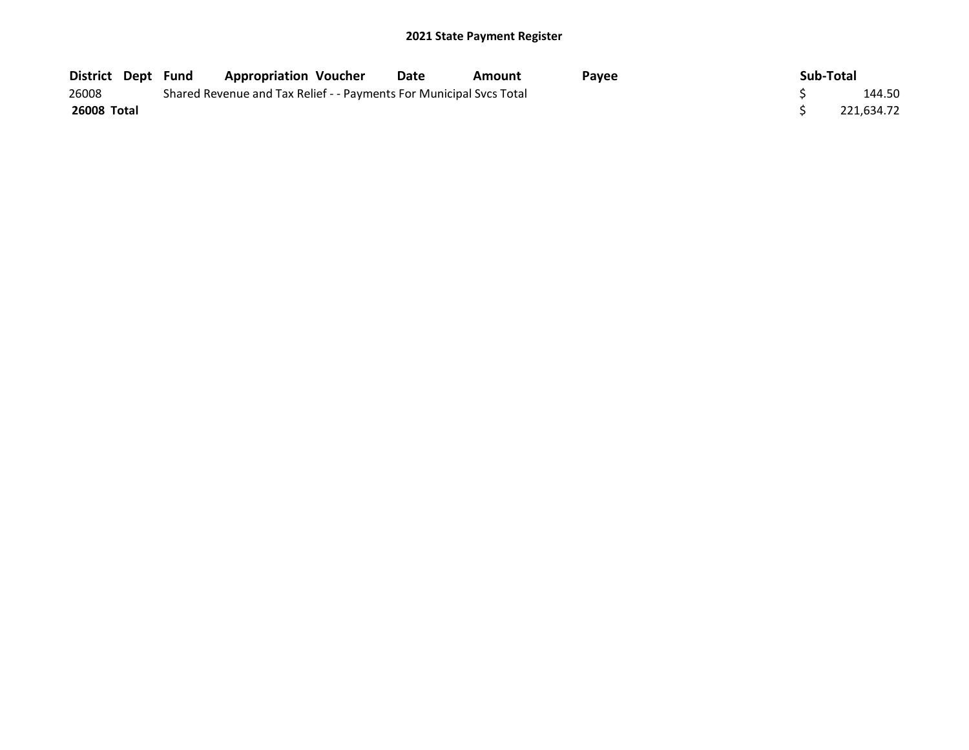| <b>District Dept Fund</b> | <b>Appropriation Voucher</b>                                        | Date   | Amount | Pavee | Sub-Total  |
|---------------------------|---------------------------------------------------------------------|--------|--------|-------|------------|
| 26008                     | Shared Revenue and Tax Relief - - Payments For Municipal Svcs Total | 144.50 |        |       |            |
| <b>26008 Total</b>        |                                                                     |        |        |       | 221.634.72 |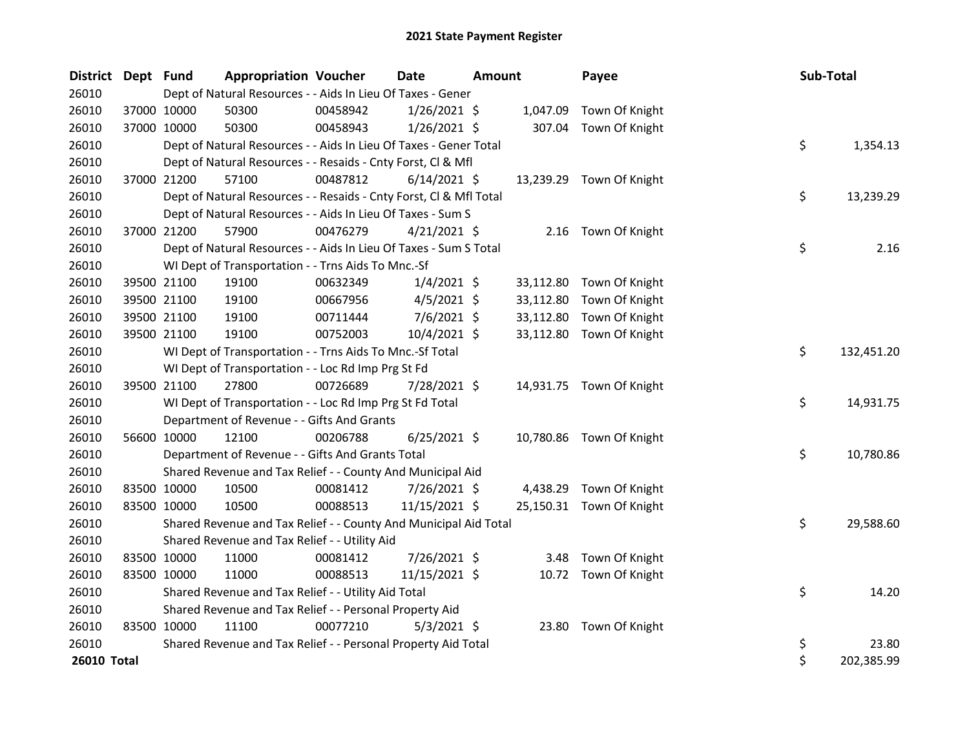| District Dept Fund |             |             | <b>Appropriation Voucher</b>                                       |          | Date           | <b>Amount</b> |           | Payee                    | Sub-Total |            |
|--------------------|-------------|-------------|--------------------------------------------------------------------|----------|----------------|---------------|-----------|--------------------------|-----------|------------|
| 26010              |             |             | Dept of Natural Resources - - Aids In Lieu Of Taxes - Gener        |          |                |               |           |                          |           |            |
| 26010              |             | 37000 10000 | 50300                                                              | 00458942 | $1/26/2021$ \$ |               | 1,047.09  | Town Of Knight           |           |            |
| 26010              | 37000 10000 |             | 50300                                                              | 00458943 | $1/26/2021$ \$ |               | 307.04    | Town Of Knight           |           |            |
| 26010              |             |             | Dept of Natural Resources - - Aids In Lieu Of Taxes - Gener Total  |          |                |               |           |                          | \$        | 1,354.13   |
| 26010              |             |             | Dept of Natural Resources - - Resaids - Cnty Forst, Cl & Mfl       |          |                |               |           |                          |           |            |
| 26010              |             | 37000 21200 | 57100                                                              | 00487812 | $6/14/2021$ \$ |               |           | 13,239.29 Town Of Knight |           |            |
| 26010              |             |             | Dept of Natural Resources - - Resaids - Cnty Forst, CI & Mfl Total |          |                |               |           |                          | \$        | 13,239.29  |
| 26010              |             |             | Dept of Natural Resources - - Aids In Lieu Of Taxes - Sum S        |          |                |               |           |                          |           |            |
| 26010              |             | 37000 21200 | 57900                                                              | 00476279 | $4/21/2021$ \$ |               |           | 2.16 Town Of Knight      |           |            |
| 26010              |             |             | Dept of Natural Resources - - Aids In Lieu Of Taxes - Sum S Total  |          |                |               |           |                          | \$        | 2.16       |
| 26010              |             |             | WI Dept of Transportation - - Trns Aids To Mnc.-Sf                 |          |                |               |           |                          |           |            |
| 26010              |             | 39500 21100 | 19100                                                              | 00632349 | $1/4/2021$ \$  |               | 33,112.80 | Town Of Knight           |           |            |
| 26010              |             | 39500 21100 | 19100                                                              | 00667956 | $4/5/2021$ \$  |               | 33,112.80 | Town Of Knight           |           |            |
| 26010              |             | 39500 21100 | 19100                                                              | 00711444 | 7/6/2021 \$    |               | 33,112.80 | Town Of Knight           |           |            |
| 26010              |             | 39500 21100 | 19100                                                              | 00752003 | 10/4/2021 \$   |               | 33,112.80 | Town Of Knight           |           |            |
| 26010              |             |             | WI Dept of Transportation - - Trns Aids To Mnc.-Sf Total           |          |                |               |           |                          | \$        | 132,451.20 |
| 26010              |             |             | WI Dept of Transportation - - Loc Rd Imp Prg St Fd                 |          |                |               |           |                          |           |            |
| 26010              |             | 39500 21100 | 27800                                                              | 00726689 | 7/28/2021 \$   |               |           | 14,931.75 Town Of Knight |           |            |
| 26010              |             |             | WI Dept of Transportation - - Loc Rd Imp Prg St Fd Total           |          |                |               |           |                          | \$        | 14,931.75  |
| 26010              |             |             | Department of Revenue - - Gifts And Grants                         |          |                |               |           |                          |           |            |
| 26010              |             | 56600 10000 | 12100                                                              | 00206788 | $6/25/2021$ \$ |               |           | 10,780.86 Town Of Knight |           |            |
| 26010              |             |             | Department of Revenue - - Gifts And Grants Total                   |          |                |               |           |                          | \$        | 10,780.86  |
| 26010              |             |             | Shared Revenue and Tax Relief - - County And Municipal Aid         |          |                |               |           |                          |           |            |
| 26010              |             | 83500 10000 | 10500                                                              | 00081412 | 7/26/2021 \$   |               | 4,438.29  | Town Of Knight           |           |            |
| 26010              |             | 83500 10000 | 10500                                                              | 00088513 | 11/15/2021 \$  |               |           | 25,150.31 Town Of Knight |           |            |
| 26010              |             |             | Shared Revenue and Tax Relief - - County And Municipal Aid Total   |          |                |               |           |                          | \$        | 29,588.60  |
| 26010              |             |             | Shared Revenue and Tax Relief - - Utility Aid                      |          |                |               |           |                          |           |            |
| 26010              |             | 83500 10000 | 11000                                                              | 00081412 | 7/26/2021 \$   |               | 3.48      | Town Of Knight           |           |            |
| 26010              |             | 83500 10000 | 11000                                                              | 00088513 | 11/15/2021 \$  |               |           | 10.72 Town Of Knight     |           |            |
| 26010              |             |             | Shared Revenue and Tax Relief - - Utility Aid Total                |          |                |               |           |                          | \$        | 14.20      |
| 26010              |             |             | Shared Revenue and Tax Relief - - Personal Property Aid            |          |                |               |           |                          |           |            |
| 26010              | 83500 10000 |             | 11100                                                              | 00077210 | $5/3/2021$ \$  |               | 23.80     | Town Of Knight           |           |            |
| 26010              |             |             | Shared Revenue and Tax Relief - - Personal Property Aid Total      |          |                |               |           |                          | \$        | 23.80      |
| 26010 Total        |             |             |                                                                    |          |                |               |           |                          | \$        | 202,385.99 |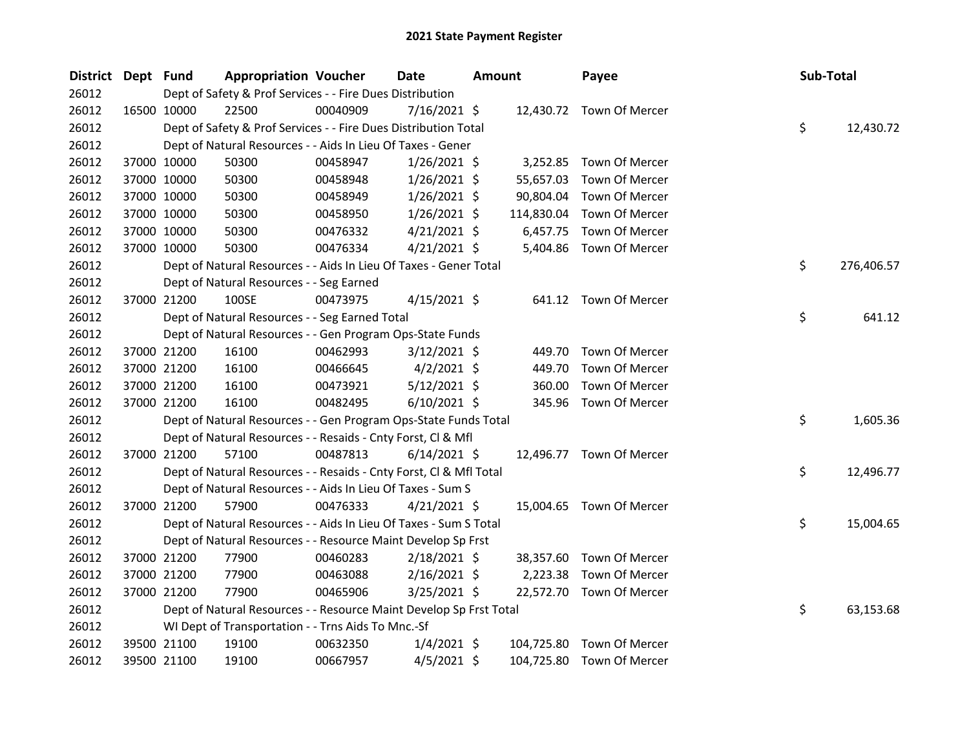| <b>District</b> | Dept Fund |             | <b>Appropriation Voucher</b>                                       |          | Date           | <b>Amount</b> |            | Payee                     | Sub-Total |            |
|-----------------|-----------|-------------|--------------------------------------------------------------------|----------|----------------|---------------|------------|---------------------------|-----------|------------|
| 26012           |           |             | Dept of Safety & Prof Services - - Fire Dues Distribution          |          |                |               |            |                           |           |            |
| 26012           |           | 16500 10000 | 22500                                                              | 00040909 | 7/16/2021 \$   |               |            | 12,430.72 Town Of Mercer  |           |            |
| 26012           |           |             | Dept of Safety & Prof Services - - Fire Dues Distribution Total    |          |                |               |            |                           | \$        | 12,430.72  |
| 26012           |           |             | Dept of Natural Resources - - Aids In Lieu Of Taxes - Gener        |          |                |               |            |                           |           |            |
| 26012           |           | 37000 10000 | 50300                                                              | 00458947 | $1/26/2021$ \$ |               |            | 3,252.85 Town Of Mercer   |           |            |
| 26012           |           | 37000 10000 | 50300                                                              | 00458948 | $1/26/2021$ \$ |               | 55,657.03  | Town Of Mercer            |           |            |
| 26012           |           | 37000 10000 | 50300                                                              | 00458949 | $1/26/2021$ \$ |               | 90,804.04  | Town Of Mercer            |           |            |
| 26012           |           | 37000 10000 | 50300                                                              | 00458950 | $1/26/2021$ \$ |               | 114,830.04 | Town Of Mercer            |           |            |
| 26012           |           | 37000 10000 | 50300                                                              | 00476332 | $4/21/2021$ \$ |               | 6,457.75   | Town Of Mercer            |           |            |
| 26012           |           | 37000 10000 | 50300                                                              | 00476334 | $4/21/2021$ \$ |               |            | 5,404.86 Town Of Mercer   |           |            |
| 26012           |           |             | Dept of Natural Resources - - Aids In Lieu Of Taxes - Gener Total  |          |                |               |            |                           | \$        | 276,406.57 |
| 26012           |           |             | Dept of Natural Resources - - Seg Earned                           |          |                |               |            |                           |           |            |
| 26012           |           | 37000 21200 | 100SE                                                              | 00473975 | $4/15/2021$ \$ |               |            | 641.12 Town Of Mercer     |           |            |
| 26012           |           |             | Dept of Natural Resources - - Seg Earned Total                     |          |                |               |            |                           | \$        | 641.12     |
| 26012           |           |             | Dept of Natural Resources - - Gen Program Ops-State Funds          |          |                |               |            |                           |           |            |
| 26012           |           | 37000 21200 | 16100                                                              | 00462993 | $3/12/2021$ \$ |               |            | 449.70 Town Of Mercer     |           |            |
| 26012           |           | 37000 21200 | 16100                                                              | 00466645 | $4/2/2021$ \$  |               | 449.70     | Town Of Mercer            |           |            |
| 26012           |           | 37000 21200 | 16100                                                              | 00473921 | $5/12/2021$ \$ |               | 360.00     | Town Of Mercer            |           |            |
| 26012           |           | 37000 21200 | 16100                                                              | 00482495 | $6/10/2021$ \$ |               |            | 345.96 Town Of Mercer     |           |            |
| 26012           |           |             | Dept of Natural Resources - - Gen Program Ops-State Funds Total    |          |                |               |            |                           | \$        | 1,605.36   |
| 26012           |           |             | Dept of Natural Resources - - Resaids - Cnty Forst, Cl & Mfl       |          |                |               |            |                           |           |            |
| 26012           |           | 37000 21200 | 57100                                                              | 00487813 | $6/14/2021$ \$ |               |            | 12,496.77 Town Of Mercer  |           |            |
| 26012           |           |             | Dept of Natural Resources - - Resaids - Cnty Forst, Cl & Mfl Total |          |                |               |            |                           | \$        | 12,496.77  |
| 26012           |           |             | Dept of Natural Resources - - Aids In Lieu Of Taxes - Sum S        |          |                |               |            |                           |           |            |
| 26012           |           | 37000 21200 | 57900                                                              | 00476333 | $4/21/2021$ \$ |               |            | 15,004.65 Town Of Mercer  |           |            |
| 26012           |           |             | Dept of Natural Resources - - Aids In Lieu Of Taxes - Sum S Total  |          |                |               |            |                           | \$        | 15,004.65  |
| 26012           |           |             | Dept of Natural Resources - - Resource Maint Develop Sp Frst       |          |                |               |            |                           |           |            |
| 26012           |           | 37000 21200 | 77900                                                              | 00460283 | 2/18/2021 \$   |               |            | 38,357.60 Town Of Mercer  |           |            |
| 26012           |           | 37000 21200 | 77900                                                              | 00463088 | $2/16/2021$ \$ |               | 2,223.38   | Town Of Mercer            |           |            |
| 26012           |           | 37000 21200 | 77900                                                              | 00465906 | $3/25/2021$ \$ |               |            | 22,572.70 Town Of Mercer  |           |            |
| 26012           |           |             | Dept of Natural Resources - - Resource Maint Develop Sp Frst Total |          |                |               |            |                           | \$        | 63,153.68  |
| 26012           |           |             | WI Dept of Transportation - - Trns Aids To Mnc.-Sf                 |          |                |               |            |                           |           |            |
| 26012           |           | 39500 21100 | 19100                                                              | 00632350 | $1/4/2021$ \$  |               | 104,725.80 | Town Of Mercer            |           |            |
| 26012           |           | 39500 21100 | 19100                                                              | 00667957 | $4/5/2021$ \$  |               |            | 104,725.80 Town Of Mercer |           |            |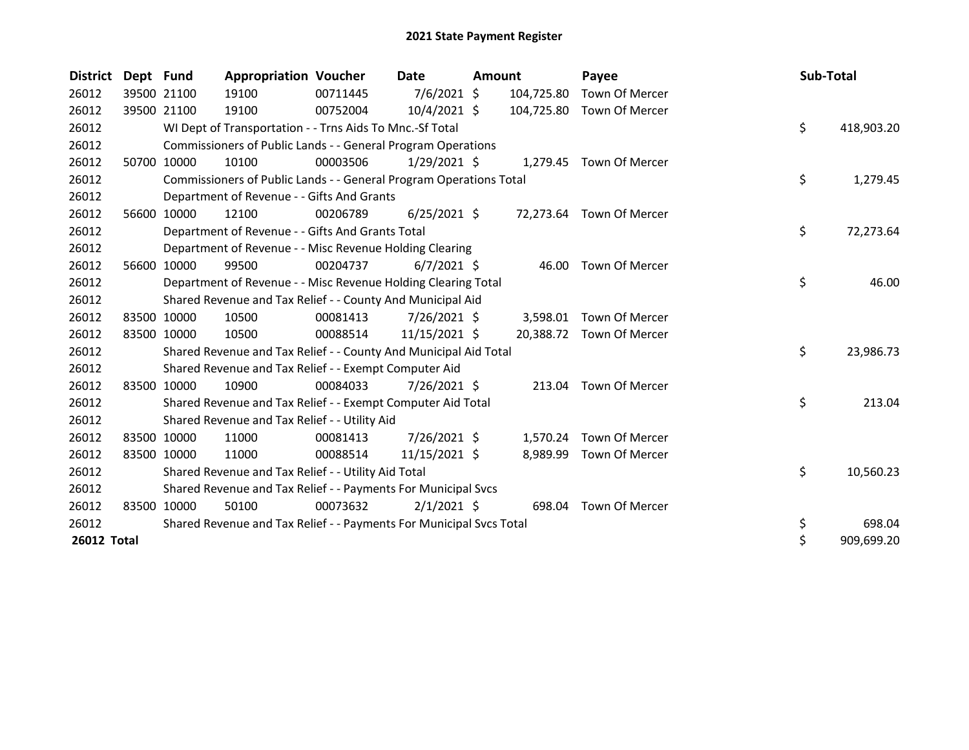| <b>District</b> | Dept Fund   |             | <b>Appropriation Voucher</b>                                        |          | Date           | <b>Amount</b> |            | Payee                    | Sub-Total |            |
|-----------------|-------------|-------------|---------------------------------------------------------------------|----------|----------------|---------------|------------|--------------------------|-----------|------------|
| 26012           |             | 39500 21100 | 19100                                                               | 00711445 | 7/6/2021 \$    |               | 104,725.80 | Town Of Mercer           |           |            |
| 26012           | 39500 21100 |             | 19100                                                               | 00752004 | $10/4/2021$ \$ |               | 104,725.80 | Town Of Mercer           |           |            |
| 26012           |             |             | WI Dept of Transportation - - Trns Aids To Mnc.-Sf Total            |          |                |               |            |                          | \$        | 418,903.20 |
| 26012           |             |             | Commissioners of Public Lands - - General Program Operations        |          |                |               |            |                          |           |            |
| 26012           | 50700       | 10000       | 10100                                                               | 00003506 | $1/29/2021$ \$ |               |            | 1,279.45 Town Of Mercer  |           |            |
| 26012           |             |             | Commissioners of Public Lands - - General Program Operations Total  |          |                |               |            |                          | \$        | 1,279.45   |
| 26012           |             |             | Department of Revenue - - Gifts And Grants                          |          |                |               |            |                          |           |            |
| 26012           | 56600       | 10000       | 12100                                                               | 00206789 | $6/25/2021$ \$ |               |            | 72,273.64 Town Of Mercer |           |            |
| 26012           |             |             | Department of Revenue - - Gifts And Grants Total                    |          |                |               |            |                          | \$        | 72,273.64  |
| 26012           |             |             | Department of Revenue - - Misc Revenue Holding Clearing             |          |                |               |            |                          |           |            |
| 26012           | 56600       | 10000       | 99500                                                               | 00204737 | $6/7/2021$ \$  |               | 46.00      | Town Of Mercer           |           |            |
| 26012           |             |             | Department of Revenue - - Misc Revenue Holding Clearing Total       |          |                |               |            |                          | \$        | 46.00      |
| 26012           |             |             | Shared Revenue and Tax Relief - - County And Municipal Aid          |          |                |               |            |                          |           |            |
| 26012           |             | 83500 10000 | 10500                                                               | 00081413 | $7/26/2021$ \$ |               | 3,598.01   | Town Of Mercer           |           |            |
| 26012           | 83500 10000 |             | 10500                                                               | 00088514 | 11/15/2021 \$  |               |            | 20,388.72 Town Of Mercer |           |            |
| 26012           |             |             | Shared Revenue and Tax Relief - - County And Municipal Aid Total    |          |                |               |            |                          | \$        | 23,986.73  |
| 26012           |             |             | Shared Revenue and Tax Relief - - Exempt Computer Aid               |          |                |               |            |                          |           |            |
| 26012           |             | 83500 10000 | 10900                                                               | 00084033 | 7/26/2021 \$   |               |            | 213.04 Town Of Mercer    |           |            |
| 26012           |             |             | Shared Revenue and Tax Relief - - Exempt Computer Aid Total         |          |                |               |            |                          | \$        | 213.04     |
| 26012           |             |             | Shared Revenue and Tax Relief - - Utility Aid                       |          |                |               |            |                          |           |            |
| 26012           |             | 83500 10000 | 11000                                                               | 00081413 | 7/26/2021 \$   |               | 1,570.24   | Town Of Mercer           |           |            |
| 26012           |             | 83500 10000 | 11000                                                               | 00088514 | 11/15/2021 \$  |               | 8,989.99   | Town Of Mercer           |           |            |
| 26012           |             |             | Shared Revenue and Tax Relief - - Utility Aid Total                 |          |                |               |            |                          | \$        | 10,560.23  |
| 26012           |             |             | Shared Revenue and Tax Relief - - Payments For Municipal Svcs       |          |                |               |            |                          |           |            |
| 26012           |             | 83500 10000 | 50100                                                               | 00073632 | $2/1/2021$ \$  |               | 698.04     | Town Of Mercer           |           |            |
| 26012           |             |             | Shared Revenue and Tax Relief - - Payments For Municipal Svcs Total |          |                |               |            |                          | \$        | 698.04     |
| 26012 Total     |             |             |                                                                     |          |                |               |            |                          | \$        | 909,699.20 |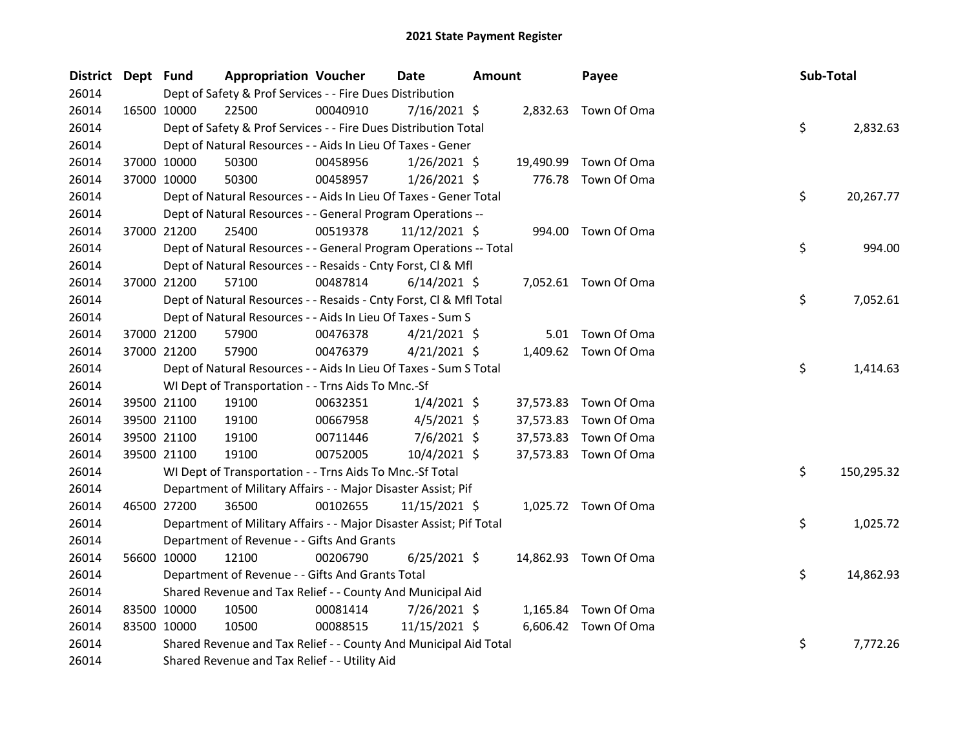| District Dept Fund |                                                                     | <b>Appropriation Voucher</b> | <b>Date</b>    | <b>Amount</b> | Payee                 | Sub-Total |            |
|--------------------|---------------------------------------------------------------------|------------------------------|----------------|---------------|-----------------------|-----------|------------|
| 26014              | Dept of Safety & Prof Services - - Fire Dues Distribution           |                              |                |               |                       |           |            |
| 26014              | 22500<br>16500 10000                                                | 00040910                     | 7/16/2021 \$   |               | 2,832.63 Town Of Oma  |           |            |
| 26014              | Dept of Safety & Prof Services - - Fire Dues Distribution Total     |                              |                |               |                       | \$        | 2,832.63   |
| 26014              | Dept of Natural Resources - - Aids In Lieu Of Taxes - Gener         |                              |                |               |                       |           |            |
| 26014              | 37000 10000<br>50300                                                | 00458956                     | $1/26/2021$ \$ | 19,490.99     | Town Of Oma           |           |            |
| 26014              | 37000 10000<br>50300                                                | 00458957                     | 1/26/2021 \$   | 776.78        | Town Of Oma           |           |            |
| 26014              | Dept of Natural Resources - - Aids In Lieu Of Taxes - Gener Total   |                              |                |               |                       | \$        | 20,267.77  |
| 26014              | Dept of Natural Resources - - General Program Operations --         |                              |                |               |                       |           |            |
| 26014              | 25400<br>37000 21200                                                | 00519378                     | 11/12/2021 \$  |               | 994.00 Town Of Oma    |           |            |
| 26014              | Dept of Natural Resources - - General Program Operations -- Total   |                              |                |               |                       | \$        | 994.00     |
| 26014              | Dept of Natural Resources - - Resaids - Cnty Forst, Cl & Mfl        |                              |                |               |                       |           |            |
| 26014              | 37000 21200<br>57100                                                | 00487814                     | $6/14/2021$ \$ |               | 7,052.61 Town Of Oma  |           |            |
| 26014              | Dept of Natural Resources - - Resaids - Cnty Forst, Cl & Mfl Total  |                              |                |               |                       | \$        | 7,052.61   |
| 26014              | Dept of Natural Resources - - Aids In Lieu Of Taxes - Sum S         |                              |                |               |                       |           |            |
| 26014              | 37000 21200<br>57900                                                | 00476378                     | $4/21/2021$ \$ |               | 5.01 Town Of Oma      |           |            |
| 26014              | 37000 21200<br>57900                                                | 00476379                     | $4/21/2021$ \$ |               | 1,409.62 Town Of Oma  |           |            |
| 26014              | Dept of Natural Resources - - Aids In Lieu Of Taxes - Sum S Total   |                              |                |               |                       | \$        | 1,414.63   |
| 26014              | WI Dept of Transportation - - Trns Aids To Mnc.-Sf                  |                              |                |               |                       |           |            |
| 26014              | 39500 21100<br>19100                                                | 00632351                     | $1/4/2021$ \$  |               | 37,573.83 Town Of Oma |           |            |
| 26014              | 39500 21100<br>19100                                                | 00667958                     | $4/5/2021$ \$  | 37,573.83     | Town Of Oma           |           |            |
| 26014              | 39500 21100<br>19100                                                | 00711446                     | $7/6/2021$ \$  | 37,573.83     | Town Of Oma           |           |            |
| 26014              | 39500 21100<br>19100                                                | 00752005                     | $10/4/2021$ \$ |               | 37,573.83 Town Of Oma |           |            |
| 26014              | WI Dept of Transportation - - Trns Aids To Mnc.-Sf Total            |                              |                |               |                       | \$        | 150,295.32 |
| 26014              | Department of Military Affairs - - Major Disaster Assist; Pif       |                              |                |               |                       |           |            |
| 26014              | 46500 27200<br>36500                                                | 00102655                     | 11/15/2021 \$  |               | 1,025.72 Town Of Oma  |           |            |
| 26014              | Department of Military Affairs - - Major Disaster Assist; Pif Total |                              |                |               |                       | \$        | 1,025.72   |
| 26014              | Department of Revenue - - Gifts And Grants                          |                              |                |               |                       |           |            |
| 26014              | 56600 10000<br>12100                                                | 00206790                     | $6/25/2021$ \$ |               | 14,862.93 Town Of Oma |           |            |
| 26014              | Department of Revenue - - Gifts And Grants Total                    |                              |                |               |                       | \$        | 14,862.93  |
| 26014              | Shared Revenue and Tax Relief - - County And Municipal Aid          |                              |                |               |                       |           |            |
| 26014              | 83500 10000<br>10500                                                | 00081414                     | 7/26/2021 \$   |               | 1,165.84 Town Of Oma  |           |            |
| 26014              | 83500 10000<br>10500                                                | 00088515                     | 11/15/2021 \$  |               | 6,606.42 Town Of Oma  |           |            |
| 26014              | Shared Revenue and Tax Relief - - County And Municipal Aid Total    |                              |                |               |                       | \$        | 7,772.26   |
| 26014              | Shared Revenue and Tax Relief - - Utility Aid                       |                              |                |               |                       |           |            |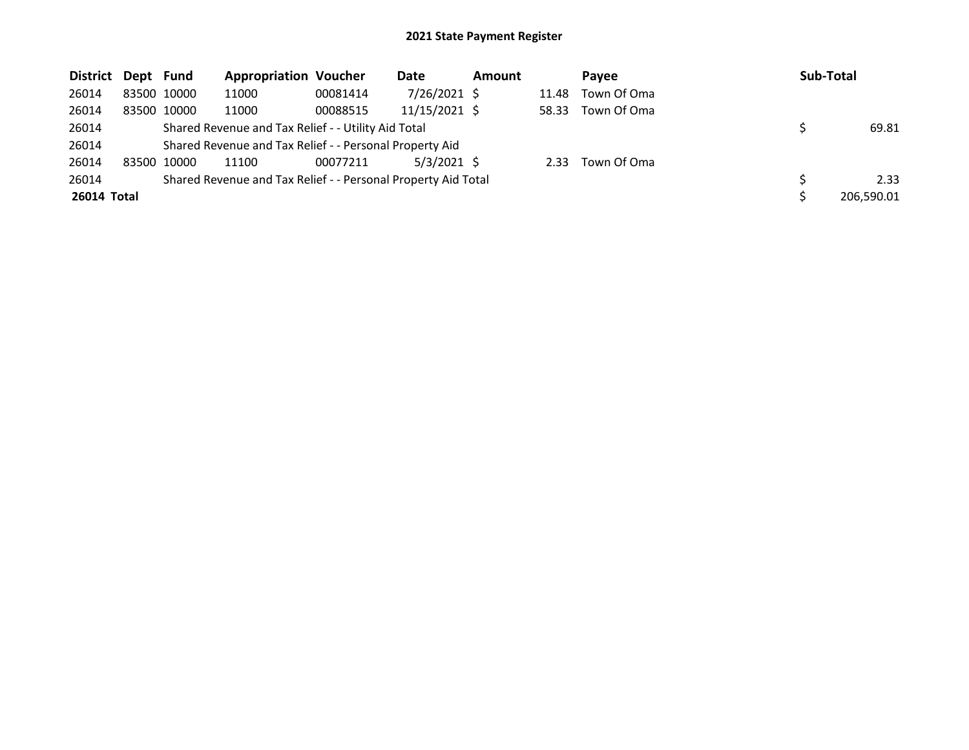| District Dept Fund |             |             | <b>Appropriation Voucher</b>                                  |          | Date          | <b>Amount</b> |       | Pavee       | Sub-Total |            |
|--------------------|-------------|-------------|---------------------------------------------------------------|----------|---------------|---------------|-------|-------------|-----------|------------|
| 26014              | 83500 10000 |             | 11000                                                         | 00081414 | 7/26/2021 \$  |               | 11.48 | Town Of Oma |           |            |
| 26014              |             | 83500 10000 | 11000                                                         | 00088515 | 11/15/2021 \$ |               | 58.33 | Town Of Oma |           |            |
| 26014              |             |             | Shared Revenue and Tax Relief - - Utility Aid Total           |          |               |               |       |             |           | 69.81      |
| 26014              |             |             | Shared Revenue and Tax Relief - - Personal Property Aid       |          |               |               |       |             |           |            |
| 26014              | 83500 10000 |             | 11100                                                         | 00077211 | $5/3/2021$ \$ |               | 2.33  | Town Of Oma |           |            |
| 26014              |             |             | Shared Revenue and Tax Relief - - Personal Property Aid Total |          |               |               |       |             |           | 2.33       |
| 26014 Total        |             |             |                                                               |          |               |               |       |             |           | 206.590.01 |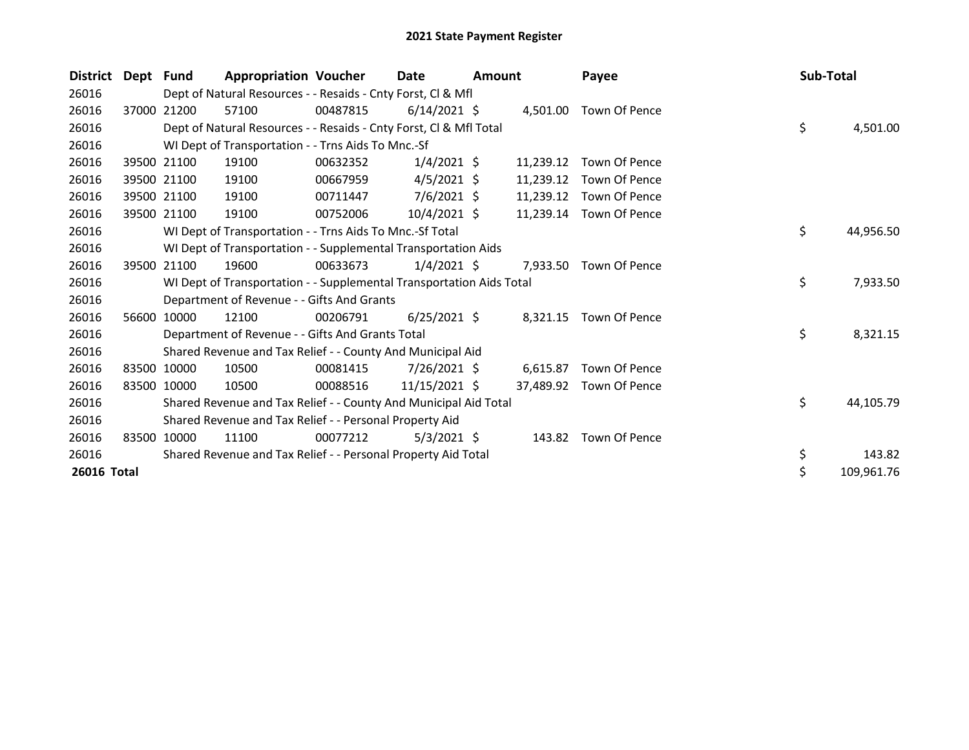| <b>District</b> | Dept Fund |             | <b>Appropriation Voucher</b>                                         |          | <b>Date</b>    | Amount |           | Payee                  | Sub-Total |            |
|-----------------|-----------|-------------|----------------------------------------------------------------------|----------|----------------|--------|-----------|------------------------|-----------|------------|
| 26016           |           |             | Dept of Natural Resources - - Resaids - Cnty Forst, CI & Mfl         |          |                |        |           |                        |           |            |
| 26016           |           | 37000 21200 | 57100                                                                | 00487815 | $6/14/2021$ \$ |        | 4,501.00  | Town Of Pence          |           |            |
| 26016           |           |             | Dept of Natural Resources - - Resaids - Cnty Forst, Cl & Mfl Total   |          |                |        |           |                        | \$        | 4,501.00   |
| 26016           |           |             | WI Dept of Transportation - - Trns Aids To Mnc.-Sf                   |          |                |        |           |                        |           |            |
| 26016           |           | 39500 21100 | 19100                                                                | 00632352 | $1/4/2021$ \$  |        | 11,239.12 | Town Of Pence          |           |            |
| 26016           |           | 39500 21100 | 19100                                                                | 00667959 | $4/5/2021$ \$  |        | 11,239.12 | Town Of Pence          |           |            |
| 26016           |           | 39500 21100 | 19100                                                                | 00711447 | $7/6/2021$ \$  |        | 11,239.12 | Town Of Pence          |           |            |
| 26016           | 39500     | 21100       | 19100                                                                | 00752006 | $10/4/2021$ \$ |        | 11,239.14 | Town Of Pence          |           |            |
| 26016           |           |             | WI Dept of Transportation - - Trns Aids To Mnc.-Sf Total             |          |                |        |           |                        | \$        | 44,956.50  |
| 26016           |           |             | WI Dept of Transportation - - Supplemental Transportation Aids       |          |                |        |           |                        |           |            |
| 26016           | 39500     | 21100       | 19600                                                                | 00633673 | $1/4/2021$ \$  |        | 7.933.50  | Town Of Pence          |           |            |
| 26016           |           |             | WI Dept of Transportation - - Supplemental Transportation Aids Total |          |                |        |           |                        | \$        | 7,933.50   |
| 26016           |           |             | Department of Revenue - - Gifts And Grants                           |          |                |        |           |                        |           |            |
| 26016           | 56600     | 10000       | 12100                                                                | 00206791 | $6/25/2021$ \$ |        |           | 8,321.15 Town Of Pence |           |            |
| 26016           |           |             | Department of Revenue - - Gifts And Grants Total                     |          |                |        |           |                        | \$        | 8,321.15   |
| 26016           |           |             | Shared Revenue and Tax Relief - - County And Municipal Aid           |          |                |        |           |                        |           |            |
| 26016           | 83500     | 10000       | 10500                                                                | 00081415 | $7/26/2021$ \$ |        | 6.615.87  | Town Of Pence          |           |            |
| 26016           |           | 83500 10000 | 10500                                                                | 00088516 | 11/15/2021 \$  |        | 37,489.92 | Town Of Pence          |           |            |
| 26016           |           |             | Shared Revenue and Tax Relief - - County And Municipal Aid Total     |          |                |        |           |                        | \$        | 44,105.79  |
| 26016           |           |             | Shared Revenue and Tax Relief - - Personal Property Aid              |          |                |        |           |                        |           |            |
| 26016           | 83500     | 10000       | 11100                                                                | 00077212 | $5/3/2021$ \$  |        |           | 143.82 Town Of Pence   |           |            |
| 26016           |           |             | Shared Revenue and Tax Relief - - Personal Property Aid Total        |          |                |        |           |                        | \$        | 143.82     |
| 26016 Total     |           |             |                                                                      |          |                |        |           |                        | \$        | 109,961.76 |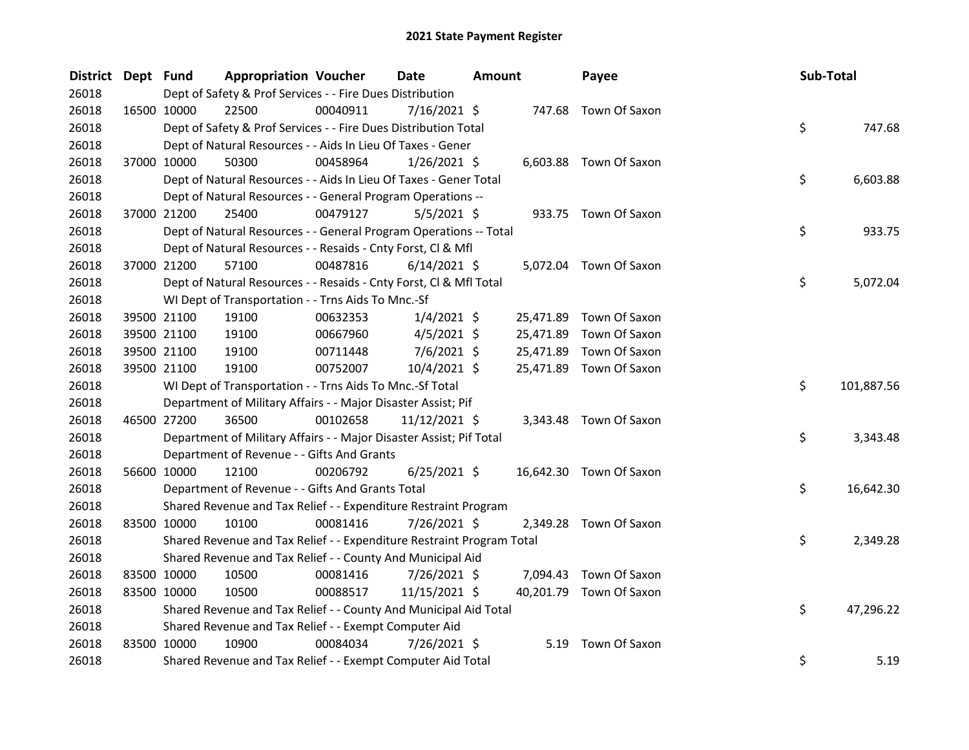| District Dept Fund |             | <b>Appropriation Voucher</b>                                          |          | Date           | Amount |           | Payee                   | Sub-Total |            |
|--------------------|-------------|-----------------------------------------------------------------------|----------|----------------|--------|-----------|-------------------------|-----------|------------|
| 26018              |             | Dept of Safety & Prof Services - - Fire Dues Distribution             |          |                |        |           |                         |           |            |
| 26018              |             | 16500 10000<br>22500                                                  | 00040911 | 7/16/2021 \$   |        |           | 747.68 Town Of Saxon    |           |            |
| 26018              |             | Dept of Safety & Prof Services - - Fire Dues Distribution Total       |          |                |        |           |                         | \$        | 747.68     |
| 26018              |             | Dept of Natural Resources - - Aids In Lieu Of Taxes - Gener           |          |                |        |           |                         |           |            |
| 26018              |             | 50300<br>37000 10000                                                  | 00458964 | $1/26/2021$ \$ |        |           | 6,603.88 Town Of Saxon  |           |            |
| 26018              |             | Dept of Natural Resources - - Aids In Lieu Of Taxes - Gener Total     |          |                |        |           |                         | \$        | 6,603.88   |
| 26018              |             | Dept of Natural Resources - - General Program Operations --           |          |                |        |           |                         |           |            |
| 26018              |             | 37000 21200<br>25400                                                  | 00479127 | $5/5/2021$ \$  |        |           | 933.75 Town Of Saxon    |           |            |
| 26018              |             | Dept of Natural Resources - - General Program Operations -- Total     |          |                |        |           |                         | \$        | 933.75     |
| 26018              |             | Dept of Natural Resources - - Resaids - Cnty Forst, Cl & Mfl          |          |                |        |           |                         |           |            |
| 26018              |             | 37000 21200<br>57100                                                  | 00487816 | $6/14/2021$ \$ |        |           | 5,072.04 Town Of Saxon  |           |            |
| 26018              |             | Dept of Natural Resources - - Resaids - Cnty Forst, Cl & Mfl Total    |          |                |        |           |                         | \$        | 5,072.04   |
| 26018              |             | WI Dept of Transportation - - Trns Aids To Mnc.-Sf                    |          |                |        |           |                         |           |            |
| 26018              |             | 39500 21100<br>19100                                                  | 00632353 | $1/4/2021$ \$  |        | 25,471.89 | Town Of Saxon           |           |            |
| 26018              |             | 39500 21100<br>19100                                                  | 00667960 | $4/5/2021$ \$  |        | 25,471.89 | Town Of Saxon           |           |            |
| 26018              |             | 39500 21100<br>19100                                                  | 00711448 | 7/6/2021 \$    |        | 25,471.89 | Town Of Saxon           |           |            |
| 26018              |             | 39500 21100<br>19100                                                  | 00752007 | 10/4/2021 \$   |        |           | 25,471.89 Town Of Saxon |           |            |
| 26018              |             | WI Dept of Transportation - - Trns Aids To Mnc.-Sf Total              |          |                |        |           |                         | \$        | 101,887.56 |
| 26018              |             | Department of Military Affairs - - Major Disaster Assist; Pif         |          |                |        |           |                         |           |            |
| 26018              |             | 46500 27200<br>36500                                                  | 00102658 | 11/12/2021 \$  |        |           | 3,343.48 Town Of Saxon  |           |            |
| 26018              |             | Department of Military Affairs - - Major Disaster Assist; Pif Total   |          |                |        |           |                         | \$        | 3,343.48   |
| 26018              |             | Department of Revenue - - Gifts And Grants                            |          |                |        |           |                         |           |            |
| 26018              |             | 56600 10000<br>12100                                                  | 00206792 | $6/25/2021$ \$ |        |           | 16,642.30 Town Of Saxon |           |            |
| 26018              |             | Department of Revenue - - Gifts And Grants Total                      |          |                |        |           |                         | \$        | 16,642.30  |
| 26018              |             | Shared Revenue and Tax Relief - - Expenditure Restraint Program       |          |                |        |           |                         |           |            |
| 26018              |             | 83500 10000<br>10100                                                  | 00081416 | 7/26/2021 \$   |        |           | 2,349.28 Town Of Saxon  |           |            |
| 26018              |             | Shared Revenue and Tax Relief - - Expenditure Restraint Program Total |          |                |        |           |                         | \$        | 2,349.28   |
| 26018              |             | Shared Revenue and Tax Relief - - County And Municipal Aid            |          |                |        |           |                         |           |            |
| 26018              |             | 83500 10000<br>10500                                                  | 00081416 | 7/26/2021 \$   |        | 7,094.43  | Town Of Saxon           |           |            |
| 26018              |             | 83500 10000<br>10500                                                  | 00088517 | 11/15/2021 \$  |        |           | 40,201.79 Town Of Saxon |           |            |
| 26018              |             | Shared Revenue and Tax Relief - - County And Municipal Aid Total      |          |                |        |           |                         | \$        | 47,296.22  |
| 26018              |             | Shared Revenue and Tax Relief - - Exempt Computer Aid                 |          |                |        |           |                         |           |            |
| 26018              | 83500 10000 | 10900                                                                 | 00084034 | 7/26/2021 \$   |        | 5.19      | Town Of Saxon           |           |            |
| 26018              |             | Shared Revenue and Tax Relief - - Exempt Computer Aid Total           |          |                |        |           |                         | \$        | 5.19       |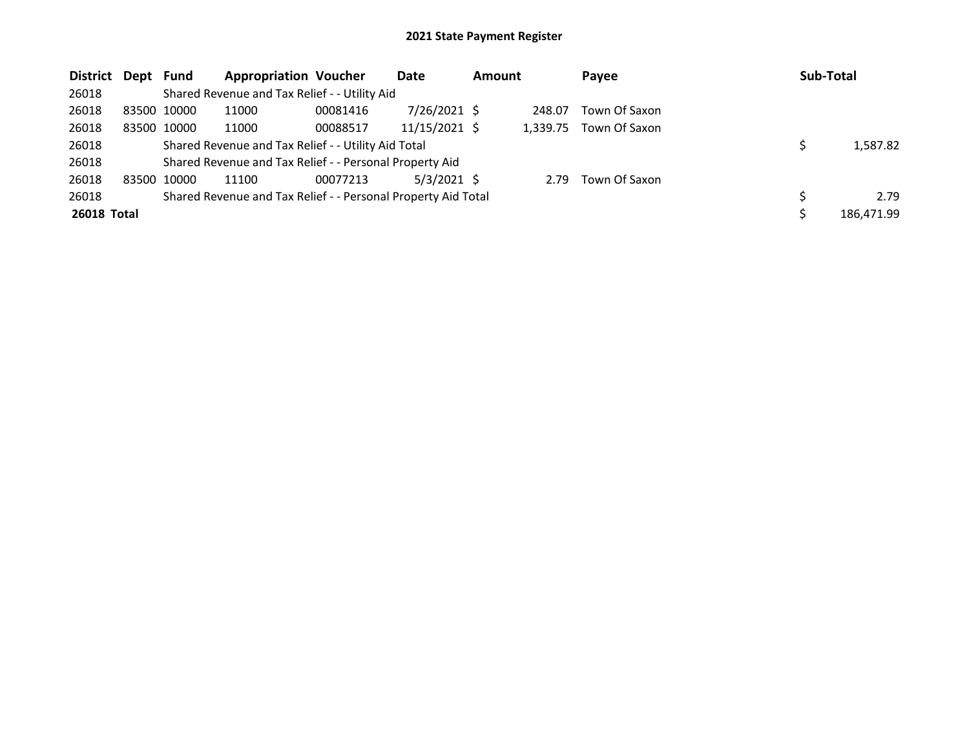| District Dept Fund |                                                               |                                                         | <b>Appropriation Voucher</b> |          | Date           | <b>Amount</b> |          | Payee         |  | Sub-Total  |  |
|--------------------|---------------------------------------------------------------|---------------------------------------------------------|------------------------------|----------|----------------|---------------|----------|---------------|--|------------|--|
| 26018              |                                                               | Shared Revenue and Tax Relief - - Utility Aid           |                              |          |                |               |          |               |  |            |  |
| 26018              |                                                               | 83500 10000                                             | 11000                        | 00081416 | $7/26/2021$ \$ |               | 248.07   | Town Of Saxon |  |            |  |
| 26018              |                                                               | 83500 10000                                             | 11000                        | 00088517 | 11/15/2021 \$  |               | 1.339.75 | Town Of Saxon |  |            |  |
| 26018              |                                                               | Shared Revenue and Tax Relief - - Utility Aid Total     |                              | 1,587.82 |                |               |          |               |  |            |  |
| 26018              |                                                               | Shared Revenue and Tax Relief - - Personal Property Aid |                              |          |                |               |          |               |  |            |  |
| 26018              |                                                               | 83500 10000                                             | 11100                        | 00077213 | $5/3/2021$ \$  |               | 2.79     | Town Of Saxon |  |            |  |
| 26018              | Shared Revenue and Tax Relief - - Personal Property Aid Total |                                                         |                              |          |                |               |          |               |  | 2.79       |  |
| 26018 Total        |                                                               |                                                         |                              |          |                |               |          |               |  | 186,471.99 |  |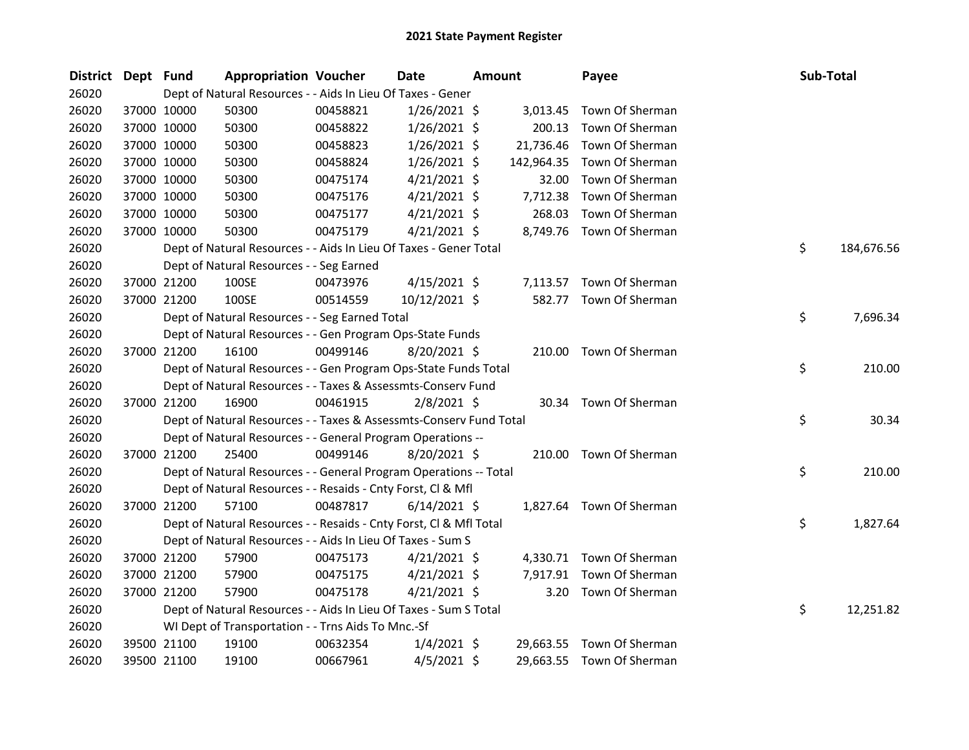| District Dept Fund |             | <b>Appropriation Voucher</b>                                       |          | Date           | <b>Amount</b> |            | Payee                     |    | Sub-Total  |  |
|--------------------|-------------|--------------------------------------------------------------------|----------|----------------|---------------|------------|---------------------------|----|------------|--|
| 26020              |             | Dept of Natural Resources - - Aids In Lieu Of Taxes - Gener        |          |                |               |            |                           |    |            |  |
| 26020              | 37000 10000 | 50300                                                              | 00458821 | $1/26/2021$ \$ |               | 3,013.45   | Town Of Sherman           |    |            |  |
| 26020              | 37000 10000 | 50300                                                              | 00458822 | $1/26/2021$ \$ |               | 200.13     | Town Of Sherman           |    |            |  |
| 26020              | 37000 10000 | 50300                                                              | 00458823 | $1/26/2021$ \$ |               | 21,736.46  | Town Of Sherman           |    |            |  |
| 26020              | 37000 10000 | 50300                                                              | 00458824 | $1/26/2021$ \$ |               | 142,964.35 | Town Of Sherman           |    |            |  |
| 26020              | 37000 10000 | 50300                                                              | 00475174 | $4/21/2021$ \$ |               | 32.00      | Town Of Sherman           |    |            |  |
| 26020              | 37000 10000 | 50300                                                              | 00475176 | $4/21/2021$ \$ |               | 7,712.38   | Town Of Sherman           |    |            |  |
| 26020              | 37000 10000 | 50300                                                              | 00475177 | $4/21/2021$ \$ |               | 268.03     | Town Of Sherman           |    |            |  |
| 26020              | 37000 10000 | 50300                                                              | 00475179 | $4/21/2021$ \$ |               |            | 8,749.76 Town Of Sherman  |    |            |  |
| 26020              |             | Dept of Natural Resources - - Aids In Lieu Of Taxes - Gener Total  |          |                |               |            |                           | \$ | 184,676.56 |  |
| 26020              |             | Dept of Natural Resources - - Seg Earned                           |          |                |               |            |                           |    |            |  |
| 26020              | 37000 21200 | 100SE                                                              | 00473976 | $4/15/2021$ \$ |               |            | 7,113.57 Town Of Sherman  |    |            |  |
| 26020              | 37000 21200 | 100SE                                                              | 00514559 | 10/12/2021 \$  |               |            | 582.77 Town Of Sherman    |    |            |  |
| 26020              |             | Dept of Natural Resources - - Seg Earned Total                     |          |                |               |            |                           | \$ | 7,696.34   |  |
| 26020              |             | Dept of Natural Resources - - Gen Program Ops-State Funds          |          |                |               |            |                           |    |            |  |
| 26020              | 37000 21200 | 16100                                                              | 00499146 | 8/20/2021 \$   |               |            | 210.00 Town Of Sherman    |    |            |  |
| 26020              |             | Dept of Natural Resources - - Gen Program Ops-State Funds Total    |          |                |               |            |                           | \$ | 210.00     |  |
| 26020              |             | Dept of Natural Resources - - Taxes & Assessmts-Conserv Fund       |          |                |               |            |                           |    |            |  |
| 26020              | 37000 21200 | 16900                                                              | 00461915 | $2/8/2021$ \$  |               |            | 30.34 Town Of Sherman     |    |            |  |
| 26020              |             | Dept of Natural Resources - - Taxes & Assessmts-Conserv Fund Total |          |                |               |            |                           | \$ | 30.34      |  |
| 26020              |             | Dept of Natural Resources - - General Program Operations --        |          |                |               |            |                           |    |            |  |
| 26020              | 37000 21200 | 25400                                                              | 00499146 | 8/20/2021 \$   |               |            | 210.00 Town Of Sherman    |    |            |  |
| 26020              |             | Dept of Natural Resources - - General Program Operations -- Total  |          |                |               |            |                           | \$ | 210.00     |  |
| 26020              |             | Dept of Natural Resources - - Resaids - Cnty Forst, Cl & Mfl       |          |                |               |            |                           |    |            |  |
| 26020              | 37000 21200 | 57100                                                              | 00487817 | $6/14/2021$ \$ |               |            | 1,827.64 Town Of Sherman  |    |            |  |
| 26020              |             | Dept of Natural Resources - - Resaids - Cnty Forst, Cl & Mfl Total |          |                |               |            |                           | \$ | 1,827.64   |  |
| 26020              |             | Dept of Natural Resources - - Aids In Lieu Of Taxes - Sum S        |          |                |               |            |                           |    |            |  |
| 26020              | 37000 21200 | 57900                                                              | 00475173 | $4/21/2021$ \$ |               | 4,330.71   | Town Of Sherman           |    |            |  |
| 26020              | 37000 21200 | 57900                                                              | 00475175 | $4/21/2021$ \$ |               |            | 7,917.91 Town Of Sherman  |    |            |  |
| 26020              | 37000 21200 | 57900                                                              | 00475178 | $4/21/2021$ \$ |               |            | 3.20 Town Of Sherman      |    |            |  |
| 26020              |             | Dept of Natural Resources - - Aids In Lieu Of Taxes - Sum S Total  |          |                |               |            |                           | \$ | 12,251.82  |  |
| 26020              |             | WI Dept of Transportation - - Trns Aids To Mnc.-Sf                 |          |                |               |            |                           |    |            |  |
| 26020              | 39500 21100 | 19100                                                              | 00632354 | $1/4/2021$ \$  |               |            | 29,663.55 Town Of Sherman |    |            |  |
| 26020              | 39500 21100 | 19100                                                              | 00667961 | $4/5/2021$ \$  |               | 29,663.55  | Town Of Sherman           |    |            |  |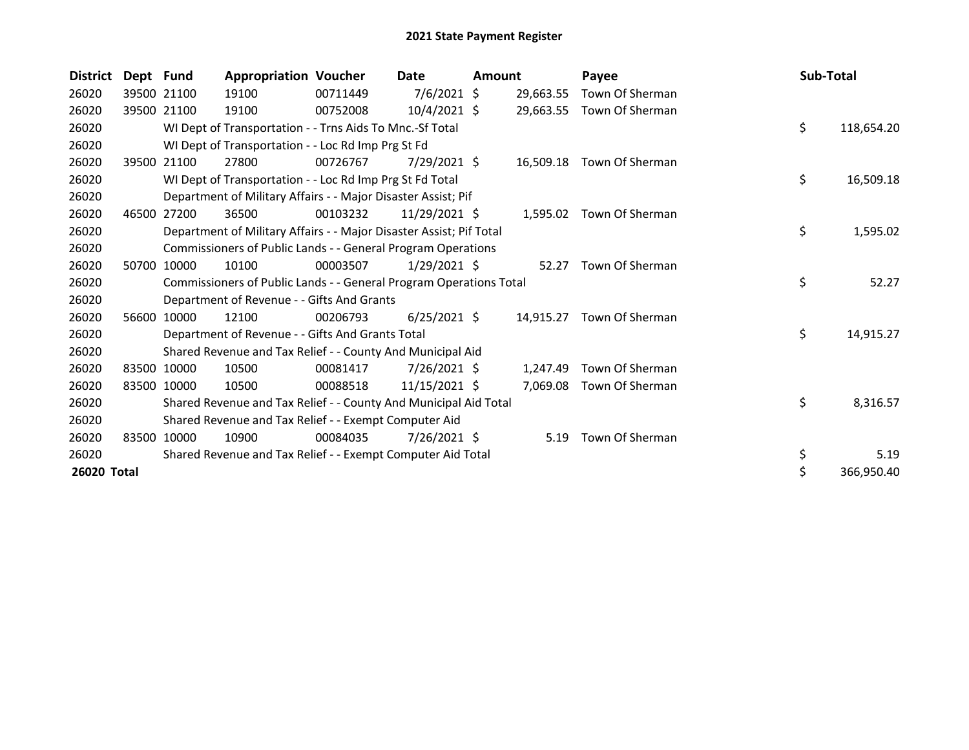| <b>District</b> | Dept Fund |                                                                    | <b>Appropriation Voucher</b>                                        |          | Date           | <b>Amount</b> |           | Payee                    |    | Sub-Total       |
|-----------------|-----------|--------------------------------------------------------------------|---------------------------------------------------------------------|----------|----------------|---------------|-----------|--------------------------|----|-----------------|
| 26020           |           | 39500 21100                                                        | 19100                                                               | 00711449 | $7/6/2021$ \$  |               | 29,663.55 | Town Of Sherman          |    |                 |
| 26020           |           | 39500 21100                                                        | 19100                                                               | 00752008 | $10/4/2021$ \$ |               | 29,663.55 | Town Of Sherman          |    |                 |
| 26020           |           |                                                                    | WI Dept of Transportation - - Trns Aids To Mnc.-Sf Total            |          |                |               |           |                          | \$ | 118,654.20      |
| 26020           |           |                                                                    | WI Dept of Transportation - - Loc Rd Imp Prg St Fd                  |          |                |               |           |                          |    |                 |
| 26020           |           | 39500 21100                                                        | 27800                                                               | 00726767 | $7/29/2021$ \$ |               | 16,509.18 | Town Of Sherman          |    |                 |
| 26020           |           |                                                                    | WI Dept of Transportation - - Loc Rd Imp Prg St Fd Total            |          |                |               |           |                          | \$ | 16,509.18       |
| 26020           |           |                                                                    | Department of Military Affairs - - Major Disaster Assist; Pif       |          |                |               |           |                          |    |                 |
| 26020           | 46500     | 27200                                                              | 36500                                                               | 00103232 | 11/29/2021 \$  |               |           | 1,595.02 Town Of Sherman |    |                 |
| 26020           |           |                                                                    | Department of Military Affairs - - Major Disaster Assist; Pif Total |          |                |               |           |                          | \$ | 1,595.02        |
| 26020           |           |                                                                    | Commissioners of Public Lands - - General Program Operations        |          |                |               |           |                          |    |                 |
| 26020           | 50700     | 10000                                                              | 10100                                                               | 00003507 | $1/29/2021$ \$ |               | 52.27     | Town Of Sherman          |    |                 |
| 26020           |           | Commissioners of Public Lands - - General Program Operations Total |                                                                     |          |                |               |           |                          |    | \$<br>52.27     |
| 26020           |           | Department of Revenue - - Gifts And Grants                         |                                                                     |          |                |               |           |                          |    |                 |
| 26020           | 56600     | 10000                                                              | 12100                                                               | 00206793 | $6/25/2021$ \$ |               | 14,915.27 | Town Of Sherman          |    |                 |
| 26020           |           | Department of Revenue - - Gifts And Grants Total                   |                                                                     |          |                |               |           |                          |    | \$<br>14,915.27 |
| 26020           |           |                                                                    | Shared Revenue and Tax Relief - - County And Municipal Aid          |          |                |               |           |                          |    |                 |
| 26020           | 83500     | 10000                                                              | 10500                                                               | 00081417 | $7/26/2021$ \$ |               | 1,247.49  | Town Of Sherman          |    |                 |
| 26020           | 83500     | 10000                                                              | 10500                                                               | 00088518 | 11/15/2021 \$  |               | 7,069.08  | Town Of Sherman          |    |                 |
| 26020           |           |                                                                    | Shared Revenue and Tax Relief - - County And Municipal Aid Total    |          |                |               |           |                          | \$ | 8,316.57        |
| 26020           |           |                                                                    | Shared Revenue and Tax Relief - - Exempt Computer Aid               |          |                |               |           |                          |    |                 |
| 26020           | 83500     | 10000                                                              | 10900                                                               | 00084035 | $7/26/2021$ \$ |               |           | 5.19 Town Of Sherman     |    |                 |
| 26020           |           |                                                                    | Shared Revenue and Tax Relief - - Exempt Computer Aid Total         |          |                |               |           |                          | \$ | 5.19            |
| 26020 Total     |           |                                                                    |                                                                     |          |                |               |           |                          | \$ | 366,950.40      |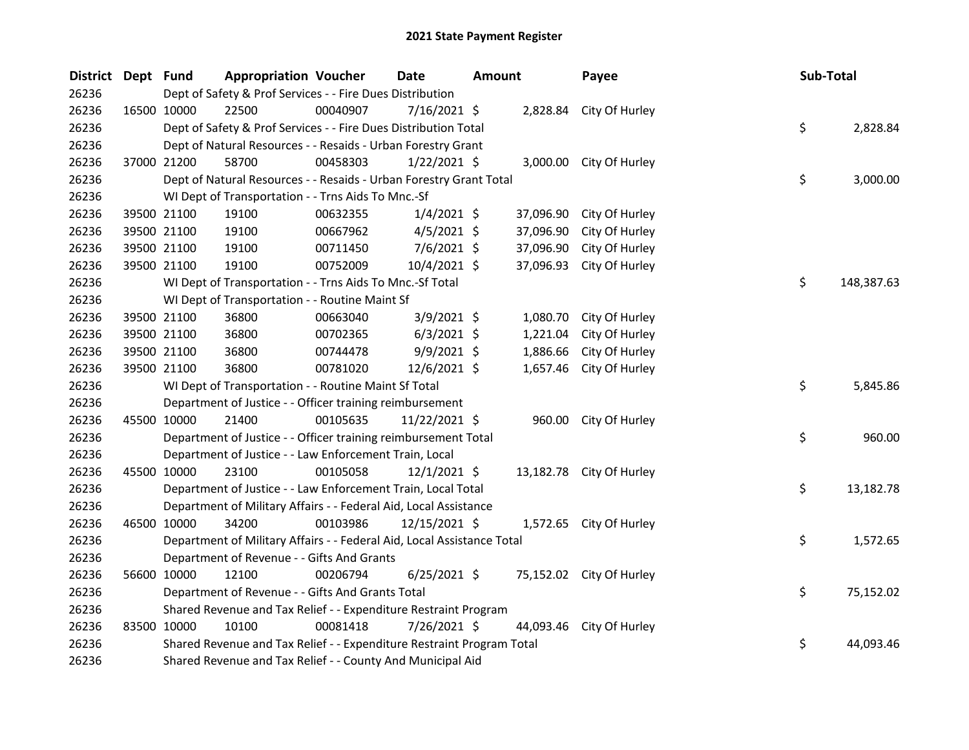| <b>District</b> | Dept Fund   | <b>Appropriation Voucher</b>                                           |          | <b>Date</b>    | <b>Amount</b> |           | Payee                    |  | Sub-Total |            |  |
|-----------------|-------------|------------------------------------------------------------------------|----------|----------------|---------------|-----------|--------------------------|--|-----------|------------|--|
| 26236           |             | Dept of Safety & Prof Services - - Fire Dues Distribution              |          |                |               |           |                          |  |           |            |  |
| 26236           |             | 22500<br>16500 10000                                                   | 00040907 | 7/16/2021 \$   |               |           | 2,828.84 City Of Hurley  |  |           |            |  |
| 26236           |             | \$<br>Dept of Safety & Prof Services - - Fire Dues Distribution Total  |          |                |               |           |                          |  |           | 2,828.84   |  |
| 26236           |             | Dept of Natural Resources - - Resaids - Urban Forestry Grant           |          |                |               |           |                          |  |           |            |  |
| 26236           |             | 37000 21200<br>58700                                                   | 00458303 | $1/22/2021$ \$ |               |           | 3,000.00 City Of Hurley  |  |           |            |  |
| 26236           |             | Dept of Natural Resources - - Resaids - Urban Forestry Grant Total     |          |                |               |           |                          |  | \$        | 3,000.00   |  |
| 26236           |             | WI Dept of Transportation - - Trns Aids To Mnc.-Sf                     |          |                |               |           |                          |  |           |            |  |
| 26236           |             | 39500 21100<br>19100                                                   | 00632355 | $1/4/2021$ \$  |               | 37,096.90 | City Of Hurley           |  |           |            |  |
| 26236           |             | 39500 21100<br>19100                                                   | 00667962 | $4/5/2021$ \$  |               | 37,096.90 | City Of Hurley           |  |           |            |  |
| 26236           |             | 39500 21100<br>19100                                                   | 00711450 | $7/6/2021$ \$  |               | 37,096.90 | City Of Hurley           |  |           |            |  |
| 26236           |             | 39500 21100<br>19100                                                   | 00752009 | 10/4/2021 \$   |               | 37,096.93 | City Of Hurley           |  |           |            |  |
| 26236           |             | WI Dept of Transportation - - Trns Aids To Mnc.-Sf Total               |          |                |               |           |                          |  | \$        | 148,387.63 |  |
| 26236           |             | WI Dept of Transportation - - Routine Maint Sf                         |          |                |               |           |                          |  |           |            |  |
| 26236           |             | 39500 21100<br>36800                                                   | 00663040 | $3/9/2021$ \$  |               | 1,080.70  | City Of Hurley           |  |           |            |  |
| 26236           |             | 39500 21100<br>36800                                                   | 00702365 | $6/3/2021$ \$  |               | 1,221.04  | City Of Hurley           |  |           |            |  |
| 26236           |             | 39500 21100<br>36800                                                   | 00744478 | $9/9/2021$ \$  |               | 1,886.66  | City Of Hurley           |  |           |            |  |
| 26236           |             | 39500 21100<br>36800                                                   | 00781020 | 12/6/2021 \$   |               | 1,657.46  | City Of Hurley           |  |           |            |  |
| 26236           |             | WI Dept of Transportation - - Routine Maint Sf Total                   |          |                |               |           |                          |  | \$        | 5,845.86   |  |
| 26236           |             | Department of Justice - - Officer training reimbursement               |          |                |               |           |                          |  |           |            |  |
| 26236           |             | 45500 10000<br>21400                                                   | 00105635 | 11/22/2021 \$  |               |           | 960.00 City Of Hurley    |  |           |            |  |
| 26236           |             | Department of Justice - - Officer training reimbursement Total         |          |                |               |           |                          |  | \$        | 960.00     |  |
| 26236           |             | Department of Justice - - Law Enforcement Train, Local                 |          |                |               |           |                          |  |           |            |  |
| 26236           | 45500 10000 | 23100                                                                  | 00105058 | $12/1/2021$ \$ |               |           | 13,182.78 City Of Hurley |  |           |            |  |
| 26236           |             | Department of Justice - - Law Enforcement Train, Local Total           |          |                |               |           |                          |  | \$        | 13,182.78  |  |
| 26236           |             | Department of Military Affairs - - Federal Aid, Local Assistance       |          |                |               |           |                          |  |           |            |  |
| 26236           |             | 46500 10000<br>34200                                                   | 00103986 | 12/15/2021 \$  |               |           | 1,572.65 City Of Hurley  |  |           |            |  |
| 26236           |             | Department of Military Affairs - - Federal Aid, Local Assistance Total |          |                |               |           |                          |  | \$        | 1,572.65   |  |
| 26236           |             | Department of Revenue - - Gifts And Grants                             |          |                |               |           |                          |  |           |            |  |
| 26236           |             | 56600 10000<br>12100                                                   | 00206794 | $6/25/2021$ \$ |               |           | 75,152.02 City Of Hurley |  |           |            |  |
| 26236           |             | Department of Revenue - - Gifts And Grants Total                       |          |                |               |           |                          |  | \$        | 75,152.02  |  |
| 26236           |             | Shared Revenue and Tax Relief - - Expenditure Restraint Program        |          |                |               |           |                          |  |           |            |  |
| 26236           | 83500 10000 | 10100                                                                  | 00081418 | 7/26/2021 \$   |               | 44,093.46 | City Of Hurley           |  |           |            |  |
| 26236           |             | Shared Revenue and Tax Relief - - Expenditure Restraint Program Total  |          |                |               |           |                          |  | \$        | 44,093.46  |  |
| 26236           |             | Shared Revenue and Tax Relief - - County And Municipal Aid             |          |                |               |           |                          |  |           |            |  |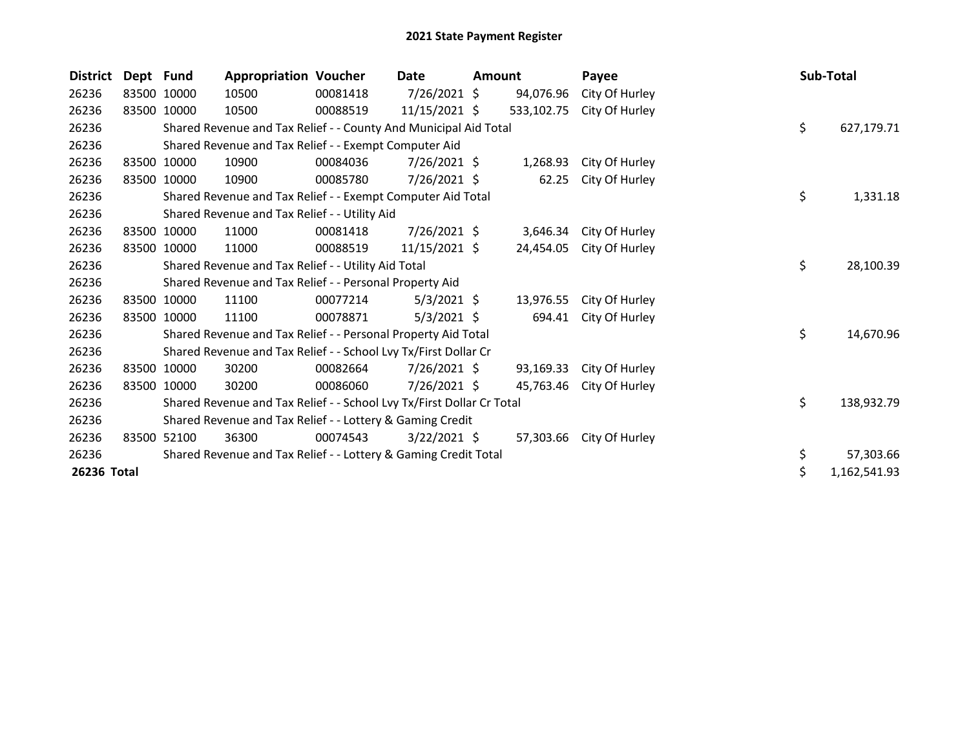| <b>District</b> | Dept Fund |                                                               | <b>Appropriation Voucher</b>                                          |          | Date           | <b>Amount</b> |            | Payee                    |  | Sub-Total |              |
|-----------------|-----------|---------------------------------------------------------------|-----------------------------------------------------------------------|----------|----------------|---------------|------------|--------------------------|--|-----------|--------------|
| 26236           |           | 83500 10000                                                   | 10500                                                                 | 00081418 | 7/26/2021 \$   |               | 94,076.96  | City Of Hurley           |  |           |              |
| 26236           |           | 83500 10000                                                   | 10500                                                                 | 00088519 | 11/15/2021 \$  |               | 533,102.75 | City Of Hurley           |  |           |              |
| 26236           |           |                                                               | Shared Revenue and Tax Relief - - County And Municipal Aid Total      |          |                |               |            |                          |  | \$        | 627,179.71   |
| 26236           |           |                                                               | Shared Revenue and Tax Relief - - Exempt Computer Aid                 |          |                |               |            |                          |  |           |              |
| 26236           |           | 83500 10000                                                   | 10900                                                                 | 00084036 | $7/26/2021$ \$ |               | 1,268.93   | City Of Hurley           |  |           |              |
| 26236           | 83500     | 10000                                                         | 10900                                                                 | 00085780 | 7/26/2021 \$   |               | 62.25      | City Of Hurley           |  |           |              |
| 26236           |           |                                                               | Shared Revenue and Tax Relief - - Exempt Computer Aid Total           |          |                |               |            |                          |  | \$        | 1,331.18     |
| 26236           |           |                                                               | Shared Revenue and Tax Relief - - Utility Aid                         |          |                |               |            |                          |  |           |              |
| 26236           |           | 83500 10000                                                   | 11000                                                                 | 00081418 | 7/26/2021 \$   |               | 3,646.34   | City Of Hurley           |  |           |              |
| 26236           |           | 83500 10000                                                   | 11000                                                                 | 00088519 | 11/15/2021 \$  |               | 24,454.05  | City Of Hurley           |  |           |              |
| 26236           |           |                                                               | Shared Revenue and Tax Relief - - Utility Aid Total                   |          |                |               |            |                          |  | \$        | 28,100.39    |
| 26236           |           |                                                               | Shared Revenue and Tax Relief - - Personal Property Aid               |          |                |               |            |                          |  |           |              |
| 26236           |           | 83500 10000                                                   | 11100                                                                 | 00077214 | $5/3/2021$ \$  |               | 13,976.55  | City Of Hurley           |  |           |              |
| 26236           |           | 83500 10000                                                   | 11100                                                                 | 00078871 | $5/3/2021$ \$  |               | 694.41     | City Of Hurley           |  |           |              |
| 26236           |           | Shared Revenue and Tax Relief - - Personal Property Aid Total |                                                                       |          |                |               |            |                          |  | \$        | 14,670.96    |
| 26236           |           |                                                               | Shared Revenue and Tax Relief - - School Lvy Tx/First Dollar Cr       |          |                |               |            |                          |  |           |              |
| 26236           |           | 83500 10000                                                   | 30200                                                                 | 00082664 | $7/26/2021$ \$ |               | 93,169.33  | City Of Hurley           |  |           |              |
| 26236           |           | 83500 10000                                                   | 30200                                                                 | 00086060 | $7/26/2021$ \$ |               | 45,763.46  | City Of Hurley           |  |           |              |
| 26236           |           |                                                               | Shared Revenue and Tax Relief - - School Lvy Tx/First Dollar Cr Total |          |                |               |            |                          |  | \$        | 138,932.79   |
| 26236           |           |                                                               | Shared Revenue and Tax Relief - - Lottery & Gaming Credit             |          |                |               |            |                          |  |           |              |
| 26236           |           | 83500 52100                                                   | 36300                                                                 | 00074543 | $3/22/2021$ \$ |               |            | 57,303.66 City Of Hurley |  |           |              |
| 26236           |           |                                                               | Shared Revenue and Tax Relief - - Lottery & Gaming Credit Total       |          |                |               |            |                          |  | \$        | 57,303.66    |
| 26236 Total     |           |                                                               |                                                                       |          |                |               |            |                          |  | \$        | 1,162,541.93 |